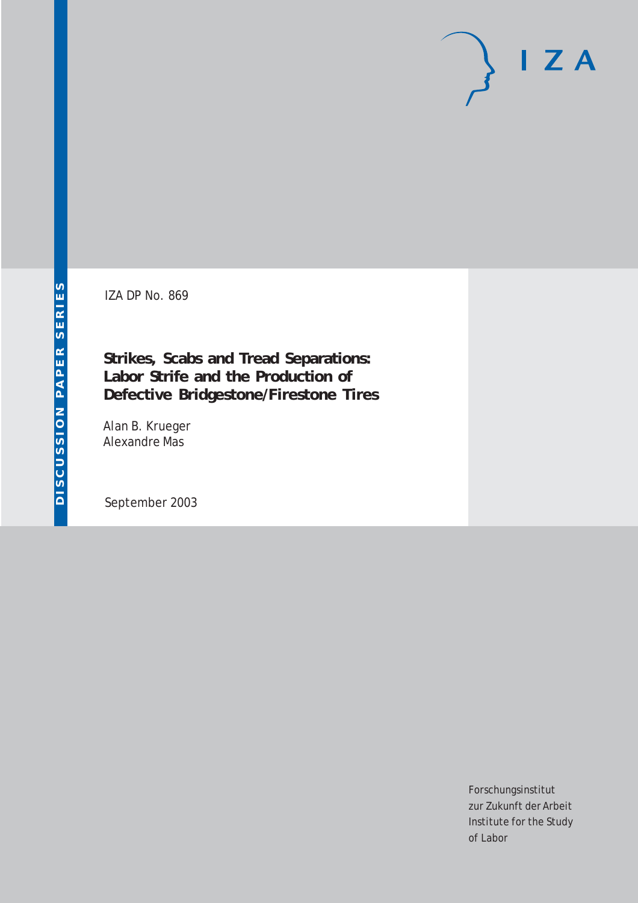IZA DP No. 869

**Strikes, Scabs and Tread Separations: Labor Strife and the Production of Defective Bridgestone/Firestone Tires**

Alan B. Krueger Alexandre Mas

September 2003

Forschungsinstitut zur Zukunft der Arbeit Institute for the Study of Labor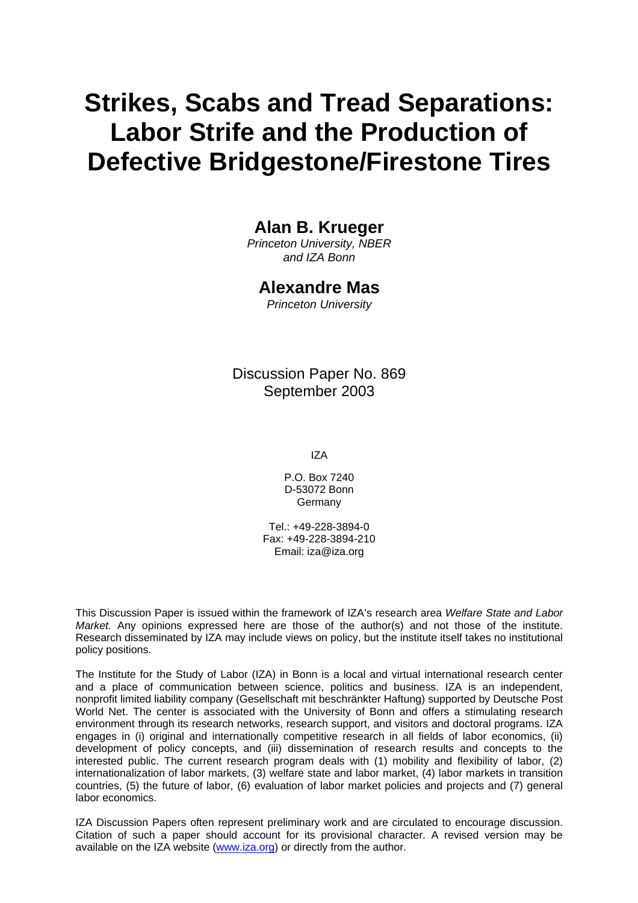# **Strikes, Scabs and Tread Separations: Labor Strife and the Production of Defective Bridgestone/Firestone Tires**

# **Alan B. Krueger**

*Princeton University, NBER and IZA Bonn* 

## **Alexandre Mas**

*Princeton University* 

Discussion Paper No. 869 September 2003

IZA

P.O. Box 7240 D-53072 Bonn Germany

Tel.: +49-228-3894-0 Fax: +49-228-3894-210 Email: [iza@iza.org](mailto:iza@iza.org)

This Discussion Paper is issued within the framework of IZA's research area *Welfare State and Labor Market.* Any opinions expressed here are those of the author(s) and not those of the institute. Research disseminated by IZA may include views on policy, but the institute itself takes no institutional policy positions.

The Institute for the Study of Labor (IZA) in Bonn is a local and virtual international research center and a place of communication between science, politics and business. IZA is an independent, nonprofit limited liability company (Gesellschaft mit beschränkter Haftung) supported by Deutsche Post World Net. The center is associated with the University of Bonn and offers a stimulating research environment through its research networks, research support, and visitors and doctoral programs. IZA engages in (i) original and internationally competitive research in all fields of labor economics, (ii) development of policy concepts, and (iii) dissemination of research results and concepts to the interested public. The current research program deals with (1) mobility and flexibility of labor, (2) internationalization of labor markets, (3) welfare state and labor market, (4) labor markets in transition countries, (5) the future of labor, (6) evaluation of labor market policies and projects and (7) general labor economics.

IZA Discussion Papers often represent preliminary work and are circulated to encourage discussion. Citation of such a paper should account for its provisional character. A revised version may be available on the IZA website ([www.iza.org](http://www.iza.org/)) or directly from the author.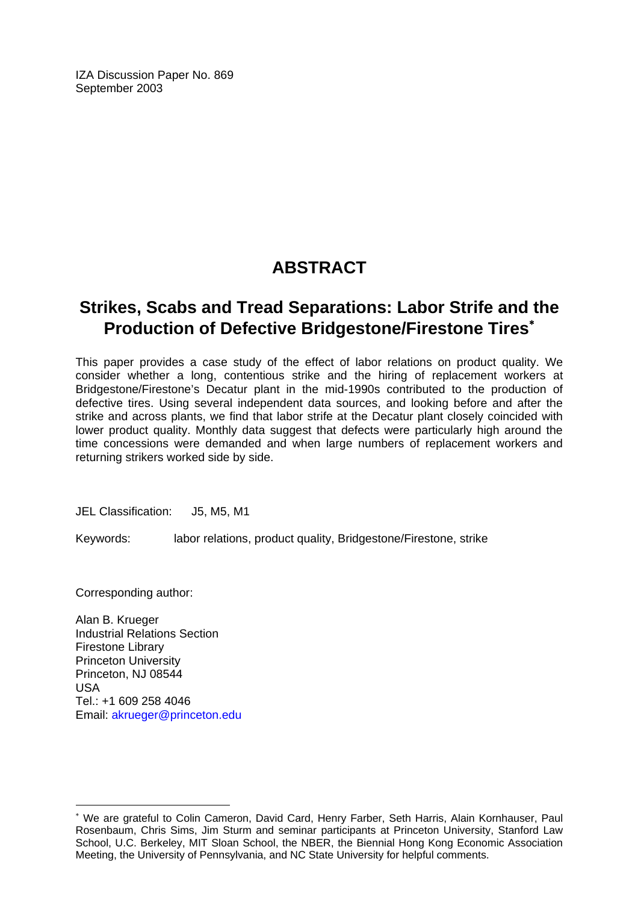IZA Discussion Paper No. 869 September 2003

# **ABSTRACT**

# **Strikes, Scabs and Tread Separations: Labor Strife and the Production of Defective Bridgestone/Firestone Tires**[∗](#page-2-0)

This paper provides a case study of the effect of labor relations on product quality. We consider whether a long, contentious strike and the hiring of replacement workers at Bridgestone/Firestone's Decatur plant in the mid-1990s contributed to the production of defective tires. Using several independent data sources, and looking before and after the strike and across plants, we find that labor strife at the Decatur plant closely coincided with lower product quality. Monthly data suggest that defects were particularly high around the time concessions were demanded and when large numbers of replacement workers and returning strikers worked side by side.

JEL Classification: J5, M5, M1

Keywords: labor relations, product quality, Bridgestone/Firestone, strike

Corresponding author:

 $\overline{a}$ 

Alan B. Krueger Industrial Relations Section Firestone Library Princeton University Princeton, NJ 08544 USA Tel.: +1 609 258 4046 Email: [akrueger@princeton.edu](mailto:akrueger@princeton.edu)

<span id="page-2-0"></span><sup>∗</sup> We are grateful to Colin Cameron, David Card, Henry Farber, Seth Harris, Alain Kornhauser, Paul Rosenbaum, Chris Sims, Jim Sturm and seminar participants at Princeton University, Stanford Law School, U.C. Berkeley, MIT Sloan School, the NBER, the Biennial Hong Kong Economic Association Meeting, the University of Pennsylvania, and NC State University for helpful comments.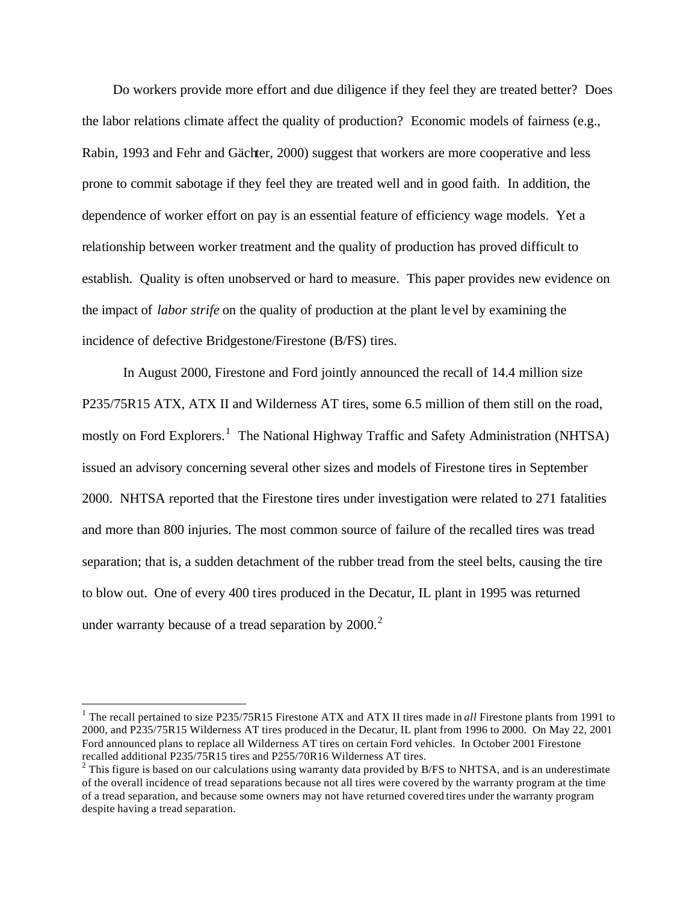Do workers provide more effort and due diligence if they feel they are treated better? Does the labor relations climate affect the quality of production? Economic models of fairness (e.g., Rabin, 1993 and Fehr and Gächter, 2000) suggest that workers are more cooperative and less prone to commit sabotage if they feel they are treated well and in good faith. In addition, the dependence of worker effort on pay is an essential feature of efficiency wage models. Yet a relationship between worker treatment and the quality of production has proved difficult to establish. Quality is often unobserved or hard to measure. This paper provides new evidence on the impact of *labor strife* on the quality of production at the plant level by examining the incidence of defective Bridgestone/Firestone (B/FS) tires.

In August 2000, Firestone and Ford jointly announced the recall of 14.4 million size P235/75R15 ATX, ATX II and Wilderness AT tires, some 6.5 million of them still on the road, mostly on Ford Explorers.<sup>1</sup> The National Highway Traffic and Safety Administration (NHTSA) issued an advisory concerning several other sizes and models of Firestone tires in September 2000. NHTSA reported that the Firestone tires under investigation were related to 271 fatalities and more than 800 injuries. The most common source of failure of the recalled tires was tread separation; that is, a sudden detachment of the rubber tread from the steel belts, causing the tire to blow out. One of every 400 tires produced in the Decatur, IL plant in 1995 was returned under warranty because of a tread separation by  $2000.<sup>2</sup>$ 

<sup>&</sup>lt;sup>1</sup> The recall pertained to size P235/75R15 Firestone ATX and ATX II tires made in *all* Firestone plants from 1991 to 2000, and P235/75R15 Wilderness AT tires produced in the Decatur, IL plant from 1996 to 2000. On May 22, 2001 Ford announced plans to replace all Wilderness AT tires on certain Ford vehicles. In October 2001 Firestone recalled additional P235/75R15 tires and P255/70R16 Wilderness AT tires.

 $2$  This figure is based on our calculations using warranty data provided by B/FS to NHTSA, and is an underestimate of the overall incidence of tread separations because not all tires were covered by the warranty program at the time of a tread separation, and because some owners may not have returned covered tires under the warranty program despite having a tread separation.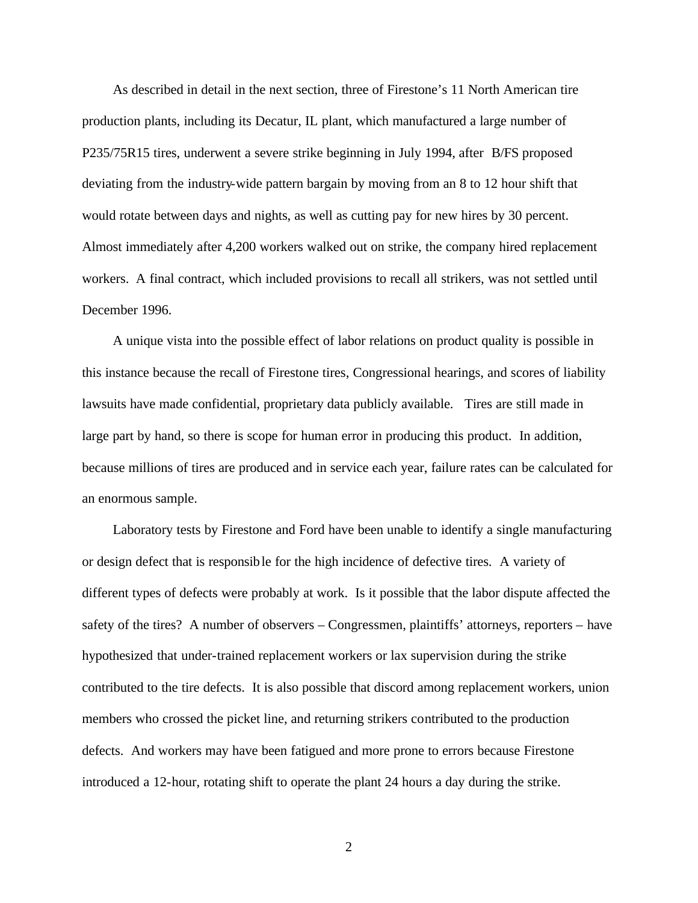As described in detail in the next section, three of Firestone's 11 North American tire production plants, including its Decatur, IL plant, which manufactured a large number of P235/75R15 tires, underwent a severe strike beginning in July 1994, after B/FS proposed deviating from the industry-wide pattern bargain by moving from an 8 to 12 hour shift that would rotate between days and nights, as well as cutting pay for new hires by 30 percent. Almost immediately after 4,200 workers walked out on strike, the company hired replacement workers. A final contract, which included provisions to recall all strikers, was not settled until December 1996.

A unique vista into the possible effect of labor relations on product quality is possible in this instance because the recall of Firestone tires, Congressional hearings, and scores of liability lawsuits have made confidential, proprietary data publicly available. Tires are still made in large part by hand, so there is scope for human error in producing this product. In addition, because millions of tires are produced and in service each year, failure rates can be calculated for an enormous sample.

Laboratory tests by Firestone and Ford have been unable to identify a single manufacturing or design defect that is responsible for the high incidence of defective tires. A variety of different types of defects were probably at work. Is it possible that the labor dispute affected the safety of the tires? A number of observers – Congressmen, plaintiffs' attorneys, reporters – have hypothesized that under-trained replacement workers or lax supervision during the strike contributed to the tire defects. It is also possible that discord among replacement workers, union members who crossed the picket line, and returning strikers contributed to the production defects. And workers may have been fatigued and more prone to errors because Firestone introduced a 12-hour, rotating shift to operate the plant 24 hours a day during the strike.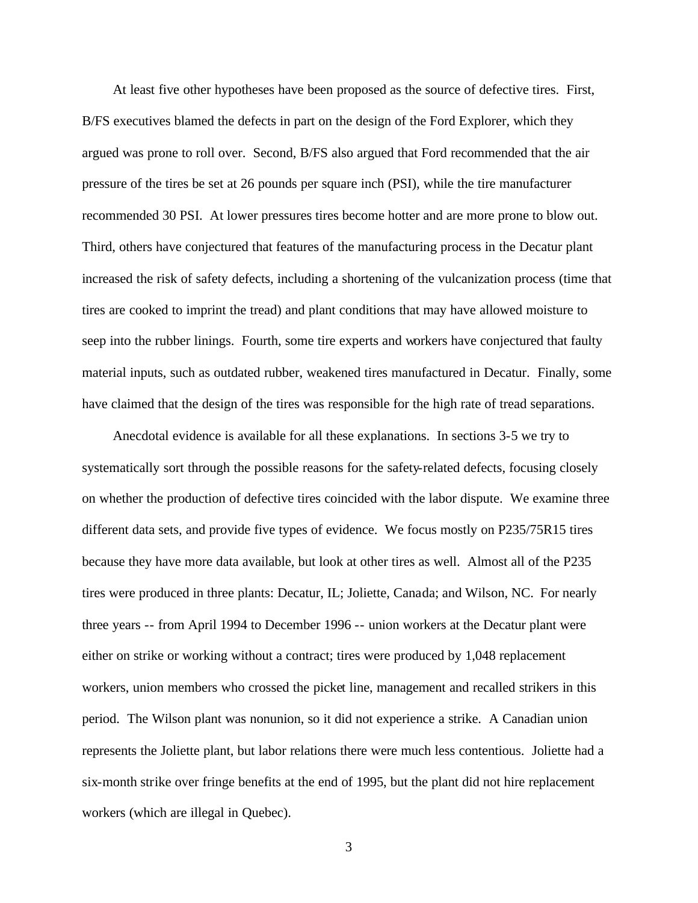At least five other hypotheses have been proposed as the source of defective tires. First, B/FS executives blamed the defects in part on the design of the Ford Explorer, which they argued was prone to roll over. Second, B/FS also argued that Ford recommended that the air pressure of the tires be set at 26 pounds per square inch (PSI), while the tire manufacturer recommended 30 PSI. At lower pressures tires become hotter and are more prone to blow out. Third, others have conjectured that features of the manufacturing process in the Decatur plant increased the risk of safety defects, including a shortening of the vulcanization process (time that tires are cooked to imprint the tread) and plant conditions that may have allowed moisture to seep into the rubber linings. Fourth, some tire experts and workers have conjectured that faulty material inputs, such as outdated rubber, weakened tires manufactured in Decatur. Finally, some have claimed that the design of the tires was responsible for the high rate of tread separations.

Anecdotal evidence is available for all these explanations. In sections 3-5 we try to systematically sort through the possible reasons for the safety-related defects, focusing closely on whether the production of defective tires coincided with the labor dispute. We examine three different data sets, and provide five types of evidence. We focus mostly on P235/75R15 tires because they have more data available, but look at other tires as well. Almost all of the P235 tires were produced in three plants: Decatur, IL; Joliette, Canada; and Wilson, NC. For nearly three years -- from April 1994 to December 1996 -- union workers at the Decatur plant were either on strike or working without a contract; tires were produced by 1,048 replacement workers, union members who crossed the picket line, management and recalled strikers in this period. The Wilson plant was nonunion, so it did not experience a strike. A Canadian union represents the Joliette plant, but labor relations there were much less contentious. Joliette had a six-month strike over fringe benefits at the end of 1995, but the plant did not hire replacement workers (which are illegal in Quebec).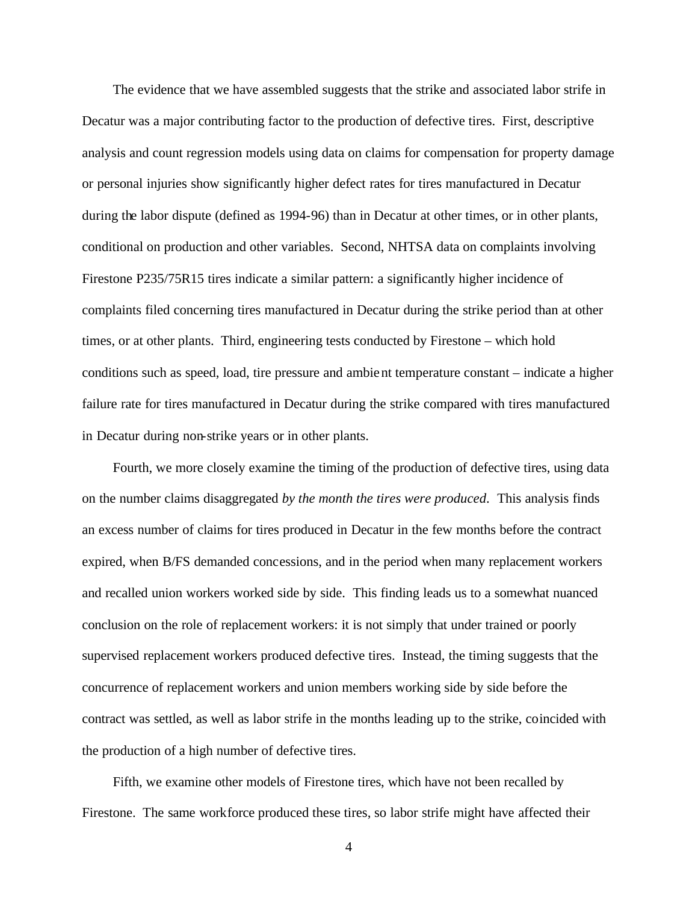The evidence that we have assembled suggests that the strike and associated labor strife in Decatur was a major contributing factor to the production of defective tires. First, descriptive analysis and count regression models using data on claims for compensation for property damage or personal injuries show significantly higher defect rates for tires manufactured in Decatur during the labor dispute (defined as 1994-96) than in Decatur at other times, or in other plants, conditional on production and other variables. Second, NHTSA data on complaints involving Firestone P235/75R15 tires indicate a similar pattern: a significantly higher incidence of complaints filed concerning tires manufactured in Decatur during the strike period than at other times, or at other plants. Third, engineering tests conducted by Firestone – which hold conditions such as speed, load, tire pressure and ambient temperature constant – indicate a higher failure rate for tires manufactured in Decatur during the strike compared with tires manufactured in Decatur during non-strike years or in other plants.

Fourth, we more closely examine the timing of the production of defective tires, using data on the number claims disaggregated *by the month the tires were produced*. This analysis finds an excess number of claims for tires produced in Decatur in the few months before the contract expired, when B/FS demanded concessions, and in the period when many replacement workers and recalled union workers worked side by side. This finding leads us to a somewhat nuanced conclusion on the role of replacement workers: it is not simply that under trained or poorly supervised replacement workers produced defective tires. Instead, the timing suggests that the concurrence of replacement workers and union members working side by side before the contract was settled, as well as labor strife in the months leading up to the strike, coincided with the production of a high number of defective tires.

Fifth, we examine other models of Firestone tires, which have not been recalled by Firestone. The same workforce produced these tires, so labor strife might have affected their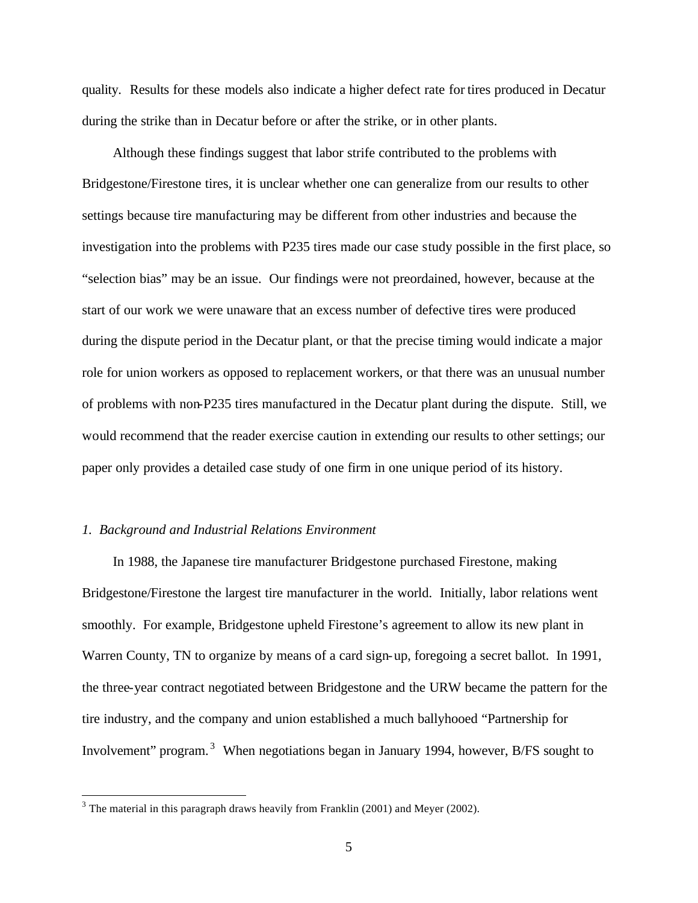quality. Results for these models also indicate a higher defect rate for tires produced in Decatur during the strike than in Decatur before or after the strike, or in other plants.

Although these findings suggest that labor strife contributed to the problems with Bridgestone/Firestone tires, it is unclear whether one can generalize from our results to other settings because tire manufacturing may be different from other industries and because the investigation into the problems with P235 tires made our case study possible in the first place, so "selection bias" may be an issue. Our findings were not preordained, however, because at the start of our work we were unaware that an excess number of defective tires were produced during the dispute period in the Decatur plant, or that the precise timing would indicate a major role for union workers as opposed to replacement workers, or that there was an unusual number of problems with non-P235 tires manufactured in the Decatur plant during the dispute. Still, we would recommend that the reader exercise caution in extending our results to other settings; our paper only provides a detailed case study of one firm in one unique period of its history.

#### *1. Background and Industrial Relations Environment*

 $\overline{a}$ 

In 1988, the Japanese tire manufacturer Bridgestone purchased Firestone, making Bridgestone/Firestone the largest tire manufacturer in the world. Initially, labor relations went smoothly. For example, Bridgestone upheld Firestone's agreement to allow its new plant in Warren County, TN to organize by means of a card sign-up, foregoing a secret ballot. In 1991, the three-year contract negotiated between Bridgestone and the URW became the pattern for the tire industry, and the company and union established a much ballyhooed "Partnership for Involvement" program.<sup>3</sup> When negotiations began in January 1994, however, B/FS sought to

 $3$  The material in this paragraph draws heavily from Franklin (2001) and Meyer (2002).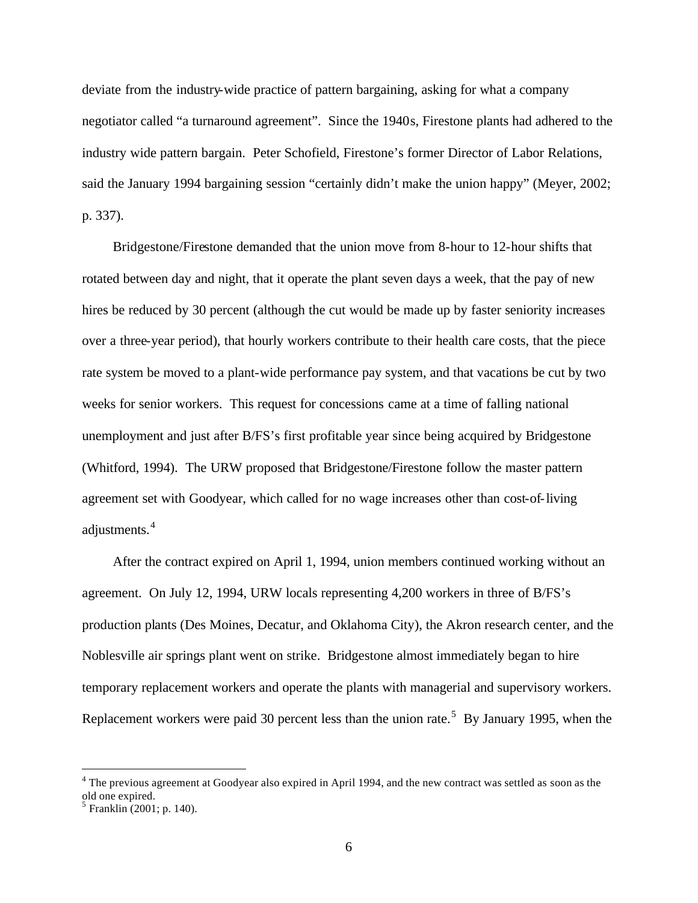deviate from the industry-wide practice of pattern bargaining, asking for what a company negotiator called "a turnaround agreement". Since the 1940s, Firestone plants had adhered to the industry wide pattern bargain. Peter Schofield, Firestone's former Director of Labor Relations, said the January 1994 bargaining session "certainly didn't make the union happy" (Meyer, 2002; p. 337).

Bridgestone/Firestone demanded that the union move from 8-hour to 12-hour shifts that rotated between day and night, that it operate the plant seven days a week, that the pay of new hires be reduced by 30 percent (although the cut would be made up by faster seniority increases over a three-year period), that hourly workers contribute to their health care costs, that the piece rate system be moved to a plant-wide performance pay system, and that vacations be cut by two weeks for senior workers. This request for concessions came at a time of falling national unemployment and just after B/FS's first profitable year since being acquired by Bridgestone (Whitford, 1994). The URW proposed that Bridgestone/Firestone follow the master pattern agreement set with Goodyear, which called for no wage increases other than cost-of-living adjustments.<sup>4</sup>

After the contract expired on April 1, 1994, union members continued working without an agreement. On July 12, 1994, URW locals representing 4,200 workers in three of B/FS's production plants (Des Moines, Decatur, and Oklahoma City), the Akron research center, and the Noblesville air springs plant went on strike. Bridgestone almost immediately began to hire temporary replacement workers and operate the plants with managerial and supervisory workers. Replacement workers were paid 30 percent less than the union rate.<sup>5</sup> By January 1995, when the

 $4$  The previous agreement at Goodyear also expired in April 1994, and the new contract was settled as soon as the old one expired.

<sup>5</sup> Franklin (2001; p. 140).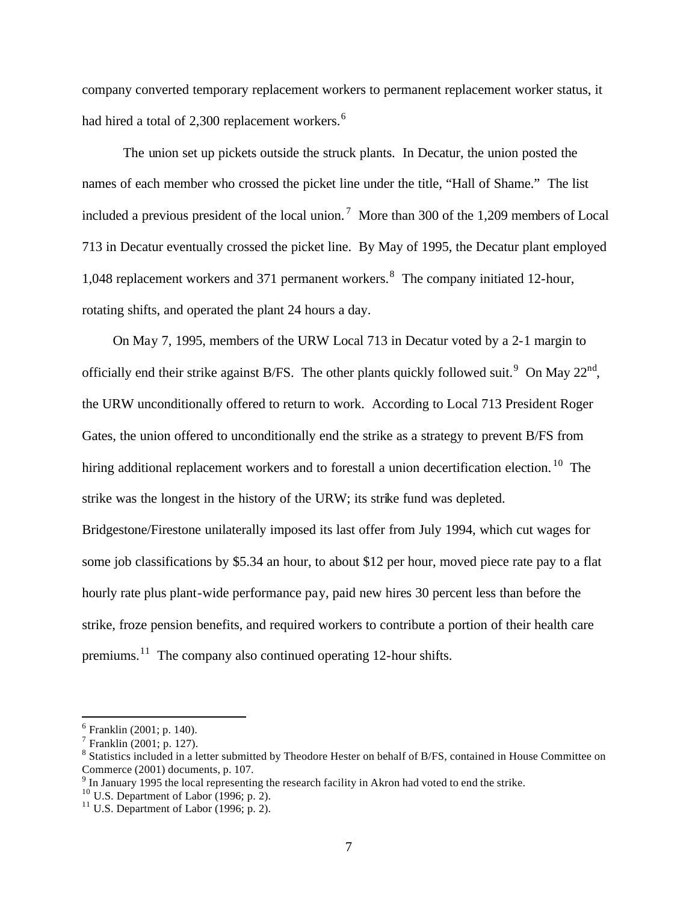company converted temporary replacement workers to permanent replacement worker status, it had hired a total of 2,300 replacement workers.<sup>6</sup>

The union set up pickets outside the struck plants. In Decatur, the union posted the names of each member who crossed the picket line under the title, "Hall of Shame." The list included a previous president of the local union.<sup>7</sup> More than 300 of the 1,209 members of Local 713 in Decatur eventually crossed the picket line. By May of 1995, the Decatur plant employed 1,048 replacement workers and 371 permanent workers.<sup>8</sup> The company initiated 12-hour, rotating shifts, and operated the plant 24 hours a day.

On May 7, 1995, members of the URW Local 713 in Decatur voted by a 2-1 margin to officially end their strike against B/FS. The other plants quickly followed suit.<sup>9</sup> On May  $22<sup>nd</sup>$ , the URW unconditionally offered to return to work. According to Local 713 President Roger Gates, the union offered to unconditionally end the strike as a strategy to prevent B/FS from hiring additional replacement workers and to forestall a union decertification election.<sup>10</sup> The strike was the longest in the history of the URW; its strike fund was depleted.

Bridgestone/Firestone unilaterally imposed its last offer from July 1994, which cut wages for some job classifications by \$5.34 an hour, to about \$12 per hour, moved piece rate pay to a flat hourly rate plus plant-wide performance pay, paid new hires 30 percent less than before the strike, froze pension benefits, and required workers to contribute a portion of their health care premiums.<sup>11</sup> The company also continued operating 12-hour shifts.

<sup>6</sup> Franklin (2001; p. 140).

<sup>7</sup> Franklin (2001; p. 127).

<sup>&</sup>lt;sup>8</sup> Statistics included in a letter submitted by Theodore Hester on behalf of B/FS, contained in House Committee on Commerce (2001) documents, p. 107.

<sup>&</sup>lt;sup>9</sup> In January 1995 the local representing the research facility in Akron had voted to end the strike.

 $^{10}$  U.S. Department of Labor (1996; p. 2).

 $11$  U.S. Department of Labor (1996; p. 2).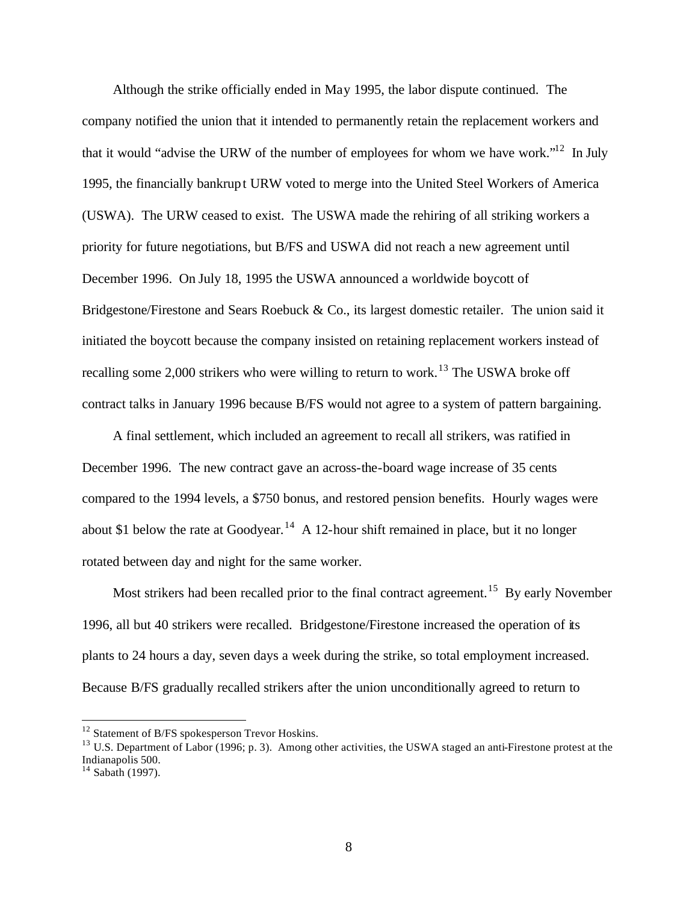Although the strike officially ended in May 1995, the labor dispute continued. The company notified the union that it intended to permanently retain the replacement workers and that it would "advise the URW of the number of employees for whom we have work."<sup>12</sup> In July 1995, the financially bankrupt URW voted to merge into the United Steel Workers of America (USWA). The URW ceased to exist. The USWA made the rehiring of all striking workers a priority for future negotiations, but B/FS and USWA did not reach a new agreement until December 1996. On July 18, 1995 the USWA announced a worldwide boycott of Bridgestone/Firestone and Sears Roebuck & Co., its largest domestic retailer. The union said it initiated the boycott because the company insisted on retaining replacement workers instead of recalling some 2,000 strikers who were willing to return to work.<sup>13</sup> The USWA broke off contract talks in January 1996 because B/FS would not agree to a system of pattern bargaining.

A final settlement, which included an agreement to recall all strikers, was ratified in December 1996. The new contract gave an across-the-board wage increase of 35 cents compared to the 1994 levels, a \$750 bonus, and restored pension benefits. Hourly wages were about \$1 below the rate at Goodyear.<sup>14</sup> A 12-hour shift remained in place, but it no longer rotated between day and night for the same worker.

Most strikers had been recalled prior to the final contract agreement.<sup>15</sup> By early November 1996, all but 40 strikers were recalled. Bridgestone/Firestone increased the operation of its plants to 24 hours a day, seven days a week during the strike, so total employment increased. Because B/FS gradually recalled strikers after the union unconditionally agreed to return to

<sup>&</sup>lt;sup>12</sup> Statement of B/FS spokesperson Trevor Hoskins.

<sup>&</sup>lt;sup>13</sup> U.S. Department of Labor (1996; p. 3). Among other activities, the USWA staged an anti-Firestone protest at the Indianapolis 500.

 $14$  Sabath (1997).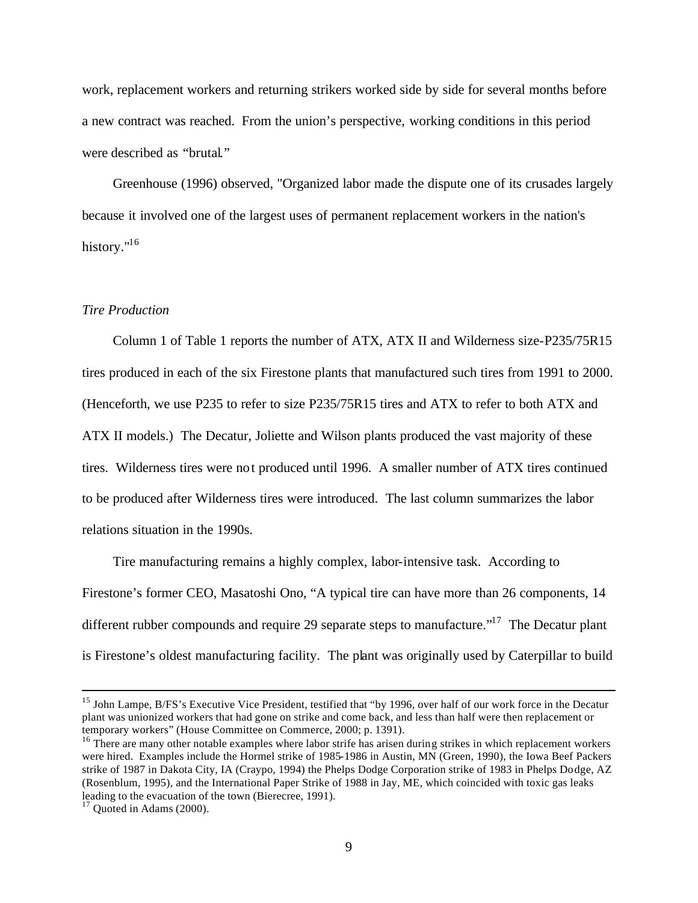work, replacement workers and returning strikers worked side by side for several months before a new contract was reached. From the union's perspective, working conditions in this period were described as "brutal."

Greenhouse (1996) observed, "Organized labor made the dispute one of its crusades largely because it involved one of the largest uses of permanent replacement workers in the nation's history."<sup>16</sup>

#### *Tire Production*

Column 1 of Table 1 reports the number of ATX, ATX II and Wilderness size-P235/75R15 tires produced in each of the six Firestone plants that manufactured such tires from 1991 to 2000. (Henceforth, we use P235 to refer to size P235/75R15 tires and ATX to refer to both ATX and ATX II models.) The Decatur, Joliette and Wilson plants produced the vast majority of these tires. Wilderness tires were not produced until 1996. A smaller number of ATX tires continued to be produced after Wilderness tires were introduced. The last column summarizes the labor relations situation in the 1990s.

Tire manufacturing remains a highly complex, labor-intensive task. According to Firestone's former CEO, Masatoshi Ono, "A typical tire can have more than 26 components, 14 different rubber compounds and require 29 separate steps to manufacture.<sup> $17$ </sup> The Decatur plant is Firestone's oldest manufacturing facility. The plant was originally used by Caterpillar to build

<sup>&</sup>lt;sup>15</sup> John Lampe, B/FS's Executive Vice President, testified that "by 1996, over half of our work force in the Decatur plant was unionized workers that had gone on strike and come back, and less than half were then replacement or temporary workers" (House Committee on Commerce, 2000; p. 1391).

<sup>&</sup>lt;sup>16</sup> There are many other notable examples where labor strife has arisen during strikes in which replacement workers were hired. Examples include the Hormel strike of 1985-1986 in Austin, MN (Green, 1990), the Iowa Beef Packers strike of 1987 in Dakota City, IA (Craypo, 1994) the Phelps Dodge Corporation strike of 1983 in Phelps Dodge, AZ (Rosenblum, 1995), and the International Paper Strike of 1988 in Jay, ME, which coincided with toxic gas leaks leading to the evacuation of the town (Bierecree, 1991).

 $17$  Quoted in Adams (2000).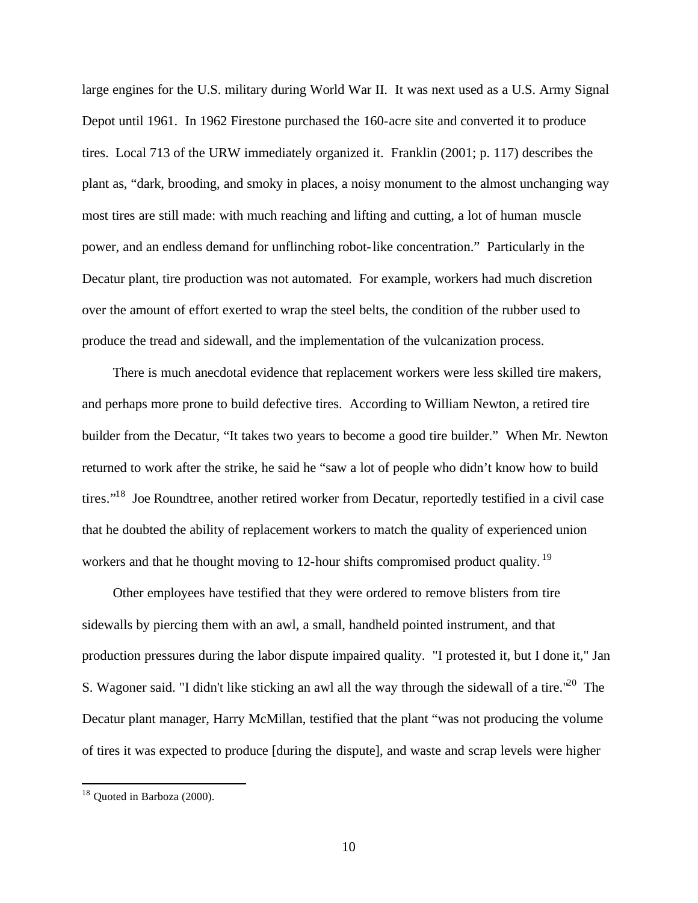large engines for the U.S. military during World War II. It was next used as a U.S. Army Signal Depot until 1961. In 1962 Firestone purchased the 160-acre site and converted it to produce tires. Local 713 of the URW immediately organized it. Franklin (2001; p. 117) describes the plant as, "dark, brooding, and smoky in places, a noisy monument to the almost unchanging way most tires are still made: with much reaching and lifting and cutting, a lot of human muscle power, and an endless demand for unflinching robot-like concentration." Particularly in the Decatur plant, tire production was not automated. For example, workers had much discretion over the amount of effort exerted to wrap the steel belts, the condition of the rubber used to produce the tread and sidewall, and the implementation of the vulcanization process.

There is much anecdotal evidence that replacement workers were less skilled tire makers, and perhaps more prone to build defective tires. According to William Newton, a retired tire builder from the Decatur, "It takes two years to become a good tire builder." When Mr. Newton returned to work after the strike, he said he "saw a lot of people who didn't know how to build tires."<sup>18</sup> Joe Roundtree, another retired worker from Decatur, reportedly testified in a civil case that he doubted the ability of replacement workers to match the quality of experienced union workers and that he thought moving to 12-hour shifts compromised product quality.<sup>19</sup>

Other employees have testified that they were ordered to remove blisters from tire sidewalls by piercing them with an awl, a small, handheld pointed instrument, and that production pressures during the labor dispute impaired quality. "I protested it, but I done it," Jan S. Wagoner said. "I didn't like sticking an awl all the way through the sidewall of a tire."<sup>20</sup> The Decatur plant manager, Harry McMillan, testified that the plant "was not producing the volume of tires it was expected to produce [during the dispute], and waste and scrap levels were higher

 $18$  Quoted in Barboza (2000).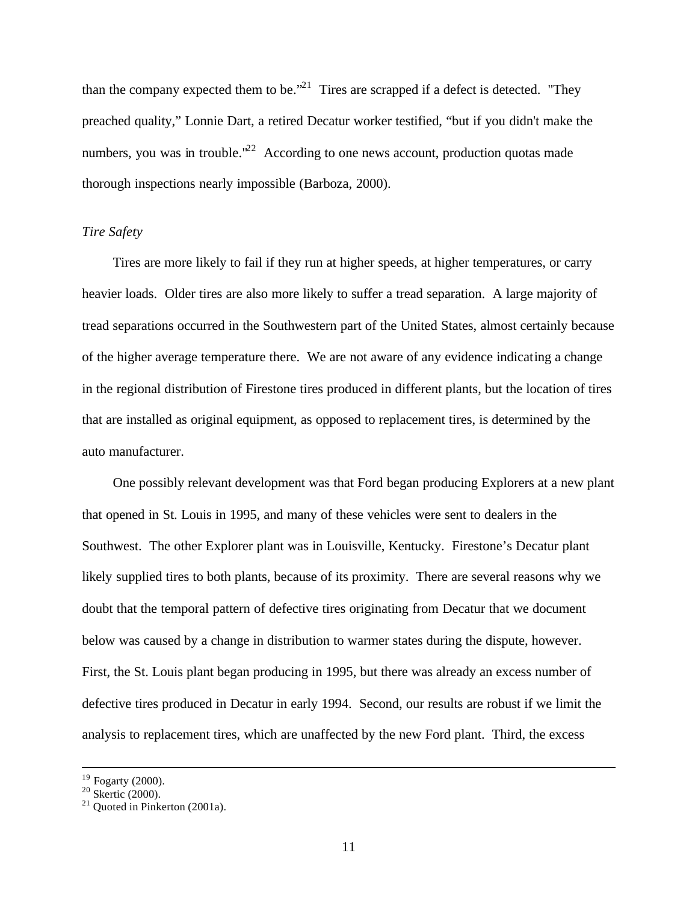than the company expected them to be.<sup>221</sup> Tires are scrapped if a defect is detected. "They preached quality," Lonnie Dart, a retired Decatur worker testified, "but if you didn't make the numbers, you was in trouble.<sup>"22</sup> According to one news account, production quotas made thorough inspections nearly impossible (Barboza, 2000).

#### *Tire Safety*

Tires are more likely to fail if they run at higher speeds, at higher temperatures, or carry heavier loads. Older tires are also more likely to suffer a tread separation. A large majority of tread separations occurred in the Southwestern part of the United States, almost certainly because of the higher average temperature there. We are not aware of any evidence indicating a change in the regional distribution of Firestone tires produced in different plants, but the location of tires that are installed as original equipment, as opposed to replacement tires, is determined by the auto manufacturer.

One possibly relevant development was that Ford began producing Explorers at a new plant that opened in St. Louis in 1995, and many of these vehicles were sent to dealers in the Southwest. The other Explorer plant was in Louisville, Kentucky. Firestone's Decatur plant likely supplied tires to both plants, because of its proximity. There are several reasons why we doubt that the temporal pattern of defective tires originating from Decatur that we document below was caused by a change in distribution to warmer states during the dispute, however. First, the St. Louis plant began producing in 1995, but there was already an excess number of defective tires produced in Decatur in early 1994. Second, our results are robust if we limit the analysis to replacement tires, which are unaffected by the new Ford plant. Third, the excess

 $19$  Fogarty (2000).

 $20$  Skertic (2000).

 $21$  Quoted in Pinkerton (2001a).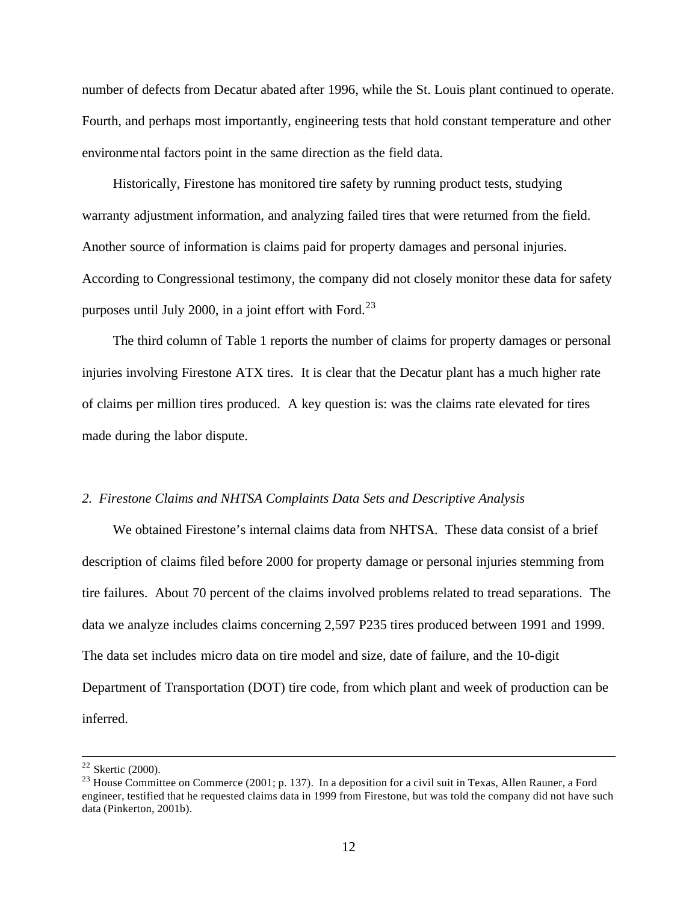number of defects from Decatur abated after 1996, while the St. Louis plant continued to operate. Fourth, and perhaps most importantly, engineering tests that hold constant temperature and other environmental factors point in the same direction as the field data.

Historically, Firestone has monitored tire safety by running product tests, studying warranty adjustment information, and analyzing failed tires that were returned from the field. Another source of information is claims paid for property damages and personal injuries. According to Congressional testimony, the company did not closely monitor these data for safety purposes until July 2000, in a joint effort with Ford.<sup>23</sup>

The third column of Table 1 reports the number of claims for property damages or personal injuries involving Firestone ATX tires. It is clear that the Decatur plant has a much higher rate of claims per million tires produced. A key question is: was the claims rate elevated for tires made during the labor dispute.

#### *2. Firestone Claims and NHTSA Complaints Data Sets and Descriptive Analysis*

We obtained Firestone's internal claims data from NHTSA. These data consist of a brief description of claims filed before 2000 for property damage or personal injuries stemming from tire failures. About 70 percent of the claims involved problems related to tread separations. The data we analyze includes claims concerning 2,597 P235 tires produced between 1991 and 1999. The data set includes micro data on tire model and size, date of failure, and the 10-digit Department of Transportation (DOT) tire code, from which plant and week of production can be inferred.

 $22$  Skertic (2000).

<sup>&</sup>lt;sup>23</sup> House Committee on Commerce (2001; p. 137). In a deposition for a civil suit in Texas, Allen Rauner, a Ford engineer, testified that he requested claims data in 1999 from Firestone, but was told the company did not have such data (Pinkerton, 2001b).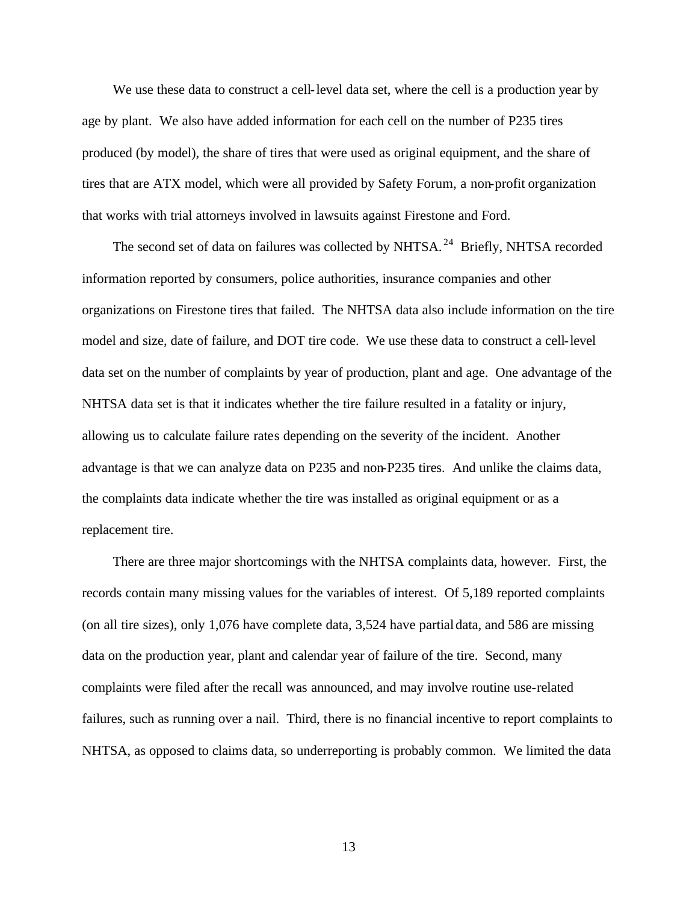We use these data to construct a cell-level data set, where the cell is a production year by age by plant. We also have added information for each cell on the number of P235 tires produced (by model), the share of tires that were used as original equipment, and the share of tires that are ATX model, which were all provided by Safety Forum, a non-profit organization that works with trial attorneys involved in lawsuits against Firestone and Ford.

The second set of data on failures was collected by NHTSA.<sup>24</sup> Briefly, NHTSA recorded information reported by consumers, police authorities, insurance companies and other organizations on Firestone tires that failed. The NHTSA data also include information on the tire model and size, date of failure, and DOT tire code. We use these data to construct a cell-level data set on the number of complaints by year of production, plant and age. One advantage of the NHTSA data set is that it indicates whether the tire failure resulted in a fatality or injury, allowing us to calculate failure rates depending on the severity of the incident. Another advantage is that we can analyze data on P235 and non-P235 tires. And unlike the claims data, the complaints data indicate whether the tire was installed as original equipment or as a replacement tire.

There are three major shortcomings with the NHTSA complaints data, however. First, the records contain many missing values for the variables of interest. Of 5,189 reported complaints (on all tire sizes), only 1,076 have complete data, 3,524 have partial data, and 586 are missing data on the production year, plant and calendar year of failure of the tire. Second, many complaints were filed after the recall was announced, and may involve routine use-related failures, such as running over a nail. Third, there is no financial incentive to report complaints to NHTSA, as opposed to claims data, so underreporting is probably common. We limited the data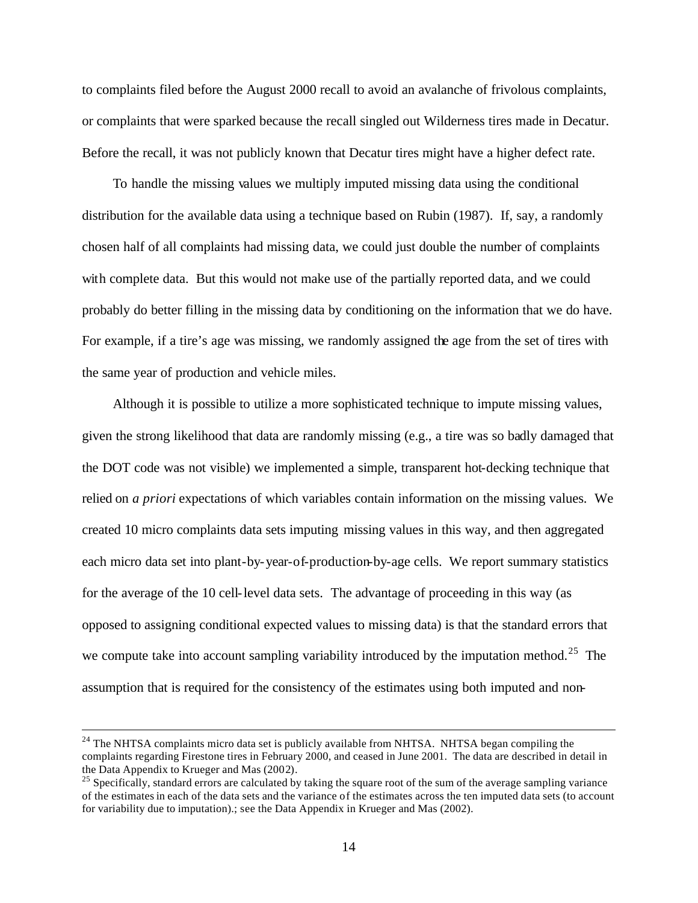to complaints filed before the August 2000 recall to avoid an avalanche of frivolous complaints, or complaints that were sparked because the recall singled out Wilderness tires made in Decatur. Before the recall, it was not publicly known that Decatur tires might have a higher defect rate.

To handle the missing values we multiply imputed missing data using the conditional distribution for the available data using a technique based on Rubin (1987). If, say, a randomly chosen half of all complaints had missing data, we could just double the number of complaints with complete data. But this would not make use of the partially reported data, and we could probably do better filling in the missing data by conditioning on the information that we do have. For example, if a tire's age was missing, we randomly assigned the age from the set of tires with the same year of production and vehicle miles.

Although it is possible to utilize a more sophisticated technique to impute missing values, given the strong likelihood that data are randomly missing (e.g., a tire was so badly damaged that the DOT code was not visible) we implemented a simple, transparent hot-decking technique that relied on *a priori* expectations of which variables contain information on the missing values. We created 10 micro complaints data sets imputing missing values in this way, and then aggregated each micro data set into plant-by-year-of-production-by-age cells. We report summary statistics for the average of the 10 cell-level data sets. The advantage of proceeding in this way (as opposed to assigning conditional expected values to missing data) is that the standard errors that we compute take into account sampling variability introduced by the imputation method.<sup>25</sup> The assumption that is required for the consistency of the estimates using both imputed and non-

<sup>&</sup>lt;sup>24</sup> The NHTSA complaints micro data set is publicly available from NHTSA. NHTSA began compiling the complaints regarding Firestone tires in February 2000, and ceased in June 2001. The data are described in detail in the Data Appendix to Krueger and Mas (2002).

<sup>&</sup>lt;sup>25</sup> Specifically, standard errors are calculated by taking the square root of the sum of the average sampling variance of the estimates in each of the data sets and the variance of the estimates across the ten imputed data sets (to account for variability due to imputation).; see the Data Appendix in Krueger and Mas (2002).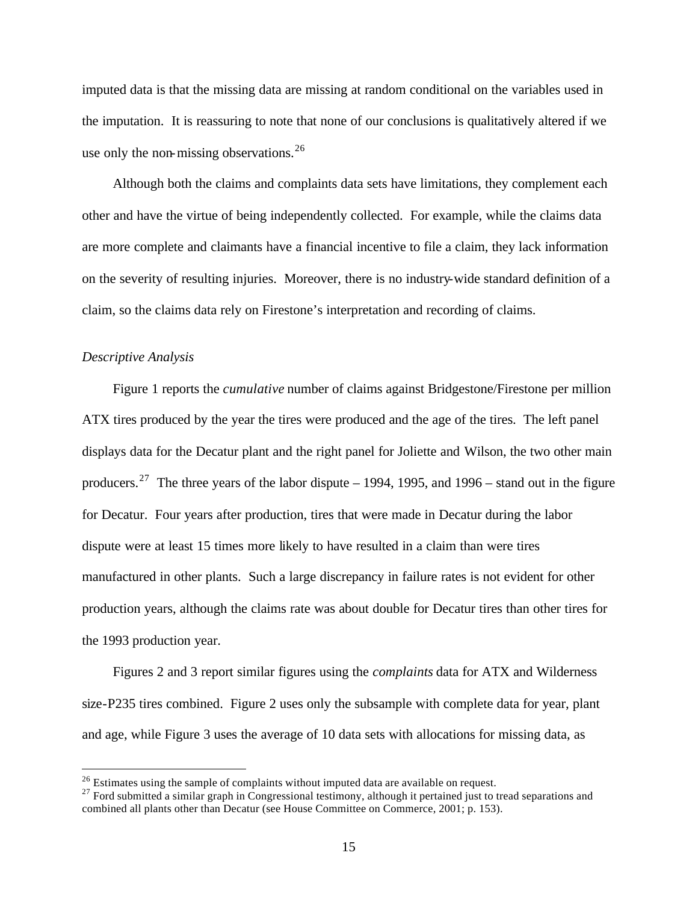imputed data is that the missing data are missing at random conditional on the variables used in the imputation. It is reassuring to note that none of our conclusions is qualitatively altered if we use only the non-missing observations.  $26$ 

Although both the claims and complaints data sets have limitations, they complement each other and have the virtue of being independently collected. For example, while the claims data are more complete and claimants have a financial incentive to file a claim, they lack information on the severity of resulting injuries. Moreover, there is no industry-wide standard definition of a claim, so the claims data rely on Firestone's interpretation and recording of claims.

#### *Descriptive Analysis*

 $\overline{a}$ 

Figure 1 reports the *cumulative* number of claims against Bridgestone/Firestone per million ATX tires produced by the year the tires were produced and the age of the tires. The left panel displays data for the Decatur plant and the right panel for Joliette and Wilson, the two other main producers.<sup>27</sup> The three years of the labor dispute – 1994, 1995, and 1996 – stand out in the figure for Decatur. Four years after production, tires that were made in Decatur during the labor dispute were at least 15 times more likely to have resulted in a claim than were tires manufactured in other plants. Such a large discrepancy in failure rates is not evident for other production years, although the claims rate was about double for Decatur tires than other tires for the 1993 production year.

Figures 2 and 3 report similar figures using the *complaints* data for ATX and Wilderness size-P235 tires combined. Figure 2 uses only the subsample with complete data for year, plant and age, while Figure 3 uses the average of 10 data sets with allocations for missing data, as

 $26$  Estimates using the sample of complaints without imputed data are available on request.

<sup>&</sup>lt;sup>27</sup> Ford submitted a similar graph in Congressional testimony, although it pertained just to tread separations and combined all plants other than Decatur (see House Committee on Commerce, 2001; p. 153).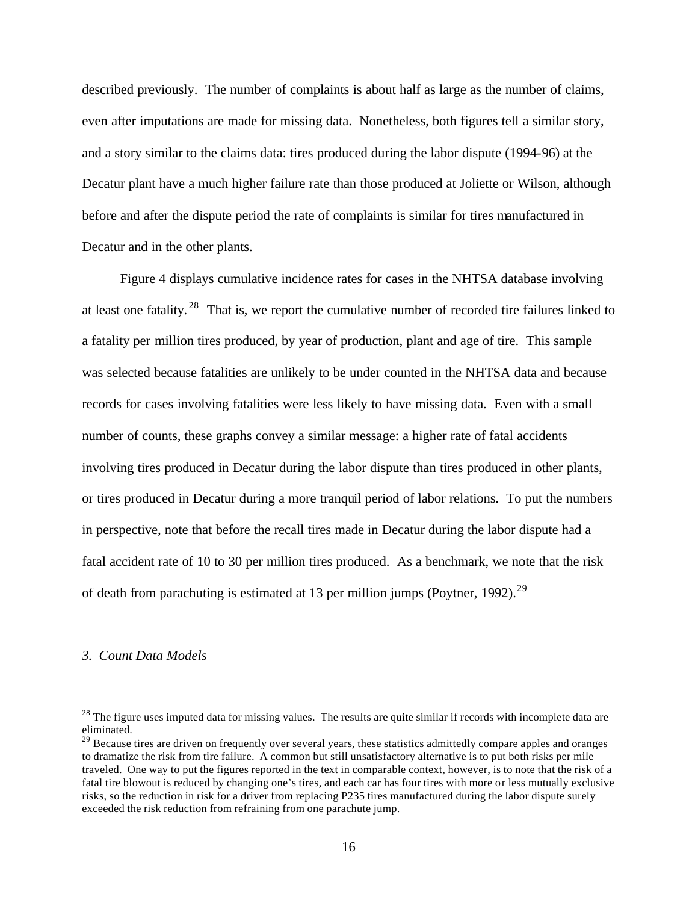described previously. The number of complaints is about half as large as the number of claims, even after imputations are made for missing data. Nonetheless, both figures tell a similar story, and a story similar to the claims data: tires produced during the labor dispute (1994-96) at the Decatur plant have a much higher failure rate than those produced at Joliette or Wilson, although before and after the dispute period the rate of complaints is similar for tires manufactured in Decatur and in the other plants.

 Figure 4 displays cumulative incidence rates for cases in the NHTSA database involving at least one fatality. <sup>28</sup> That is, we report the cumulative number of recorded tire failures linked to a fatality per million tires produced, by year of production, plant and age of tire. This sample was selected because fatalities are unlikely to be under counted in the NHTSA data and because records for cases involving fatalities were less likely to have missing data. Even with a small number of counts, these graphs convey a similar message: a higher rate of fatal accidents involving tires produced in Decatur during the labor dispute than tires produced in other plants, or tires produced in Decatur during a more tranquil period of labor relations. To put the numbers in perspective, note that before the recall tires made in Decatur during the labor dispute had a fatal accident rate of 10 to 30 per million tires produced. As a benchmark, we note that the risk of death from parachuting is estimated at 13 per million jumps (Poytner, 1992).<sup>29</sup>

#### *3. Count Data Models*

 $28$  The figure uses imputed data for missing values. The results are quite similar if records with incomplete data are eliminated.

<sup>&</sup>lt;sup>29</sup> Because tires are driven on frequently over several years, these statistics admittedly compare apples and oranges to dramatize the risk from tire failure. A common but still unsatisfactory alternative is to put both risks per mile traveled. One way to put the figures reported in the text in comparable context, however, is to note that the risk of a fatal tire blowout is reduced by changing one's tires, and each car has four tires with more or less mutually exclusive risks, so the reduction in risk for a driver from replacing P235 tires manufactured during the labor dispute surely exceeded the risk reduction from refraining from one parachute jump.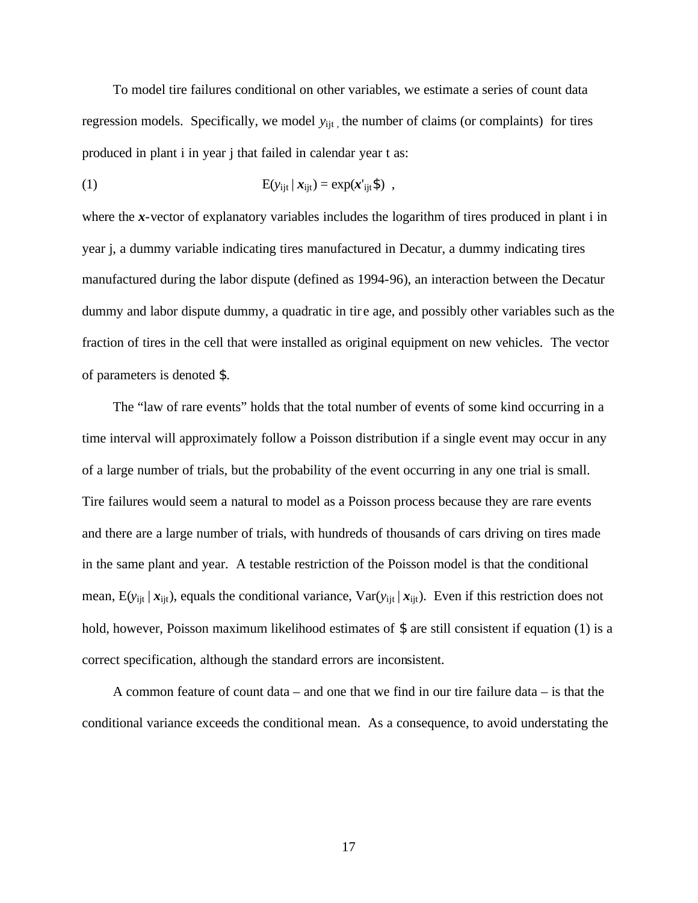To model tire failures conditional on other variables, we estimate a series of count data regression models. Specifically, we model  $y_{\text{lit}}$ , the number of claims (or complaints) for tires produced in plant i in year j that failed in calendar year t as:

(1) 
$$
E(y_{ijt} | x_{ijt}) = \exp(x'_{ijt} \mathbf{\$}) ,
$$

where the *x*-vector of explanatory variables includes the logarithm of tires produced in plant i in year j, a dummy variable indicating tires manufactured in Decatur, a dummy indicating tires manufactured during the labor dispute (defined as 1994-96), an interaction between the Decatur dummy and labor dispute dummy, a quadratic in tire age, and possibly other variables such as the fraction of tires in the cell that were installed as original equipment on new vehicles. The vector of parameters is denoted \$.

The "law of rare events" holds that the total number of events of some kind occurring in a time interval will approximately follow a Poisson distribution if a single event may occur in any of a large number of trials, but the probability of the event occurring in any one trial is small. Tire failures would seem a natural to model as a Poisson process because they are rare events and there are a large number of trials, with hundreds of thousands of cars driving on tires made in the same plant and year. A testable restriction of the Poisson model is that the conditional mean,  $E(y_{ijt} | x_{ijt})$ , equals the conditional variance,  $Var(y_{ijt} | x_{ijt})$ . Even if this restriction does not hold, however, Poisson maximum likelihood estimates of \$ are still consistent if equation (1) is a correct specification, although the standard errors are inconsistent.

A common feature of count data – and one that we find in our tire failure data – is that the conditional variance exceeds the conditional mean. As a consequence, to avoid understating the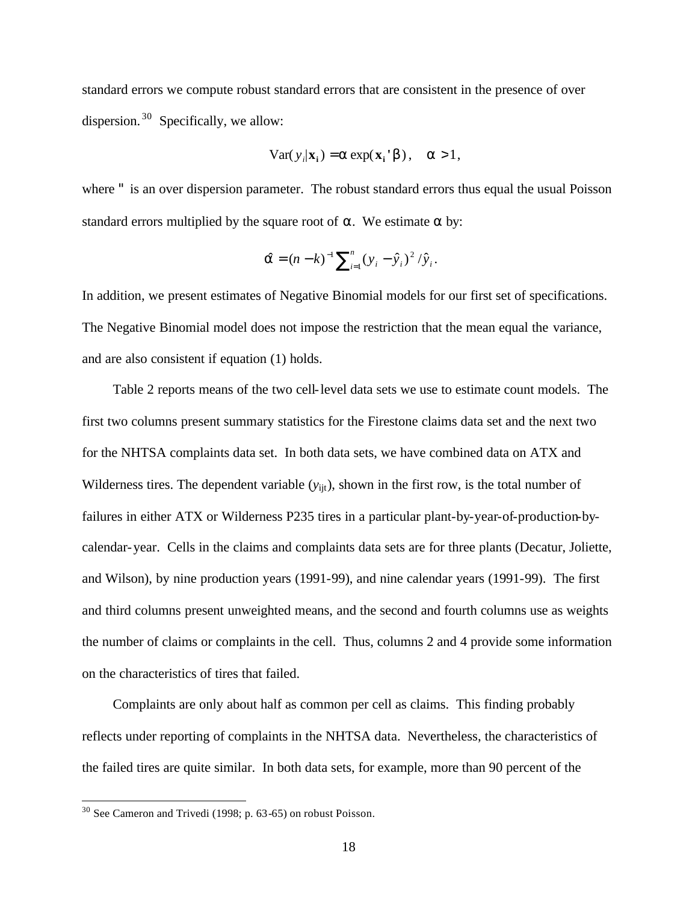standard errors we compute robust standard errors that are consistent in the presence of over dispersion.<sup>30</sup> Specifically, we allow:

$$
\text{Var}(y_i/\mathbf{x}_i) = \mathbf{a} \exp(\mathbf{x}_i \cdot \mathbf{b}), \quad \mathbf{a} > 1,
$$

where " is an over dispersion parameter. The robust standard errors thus equal the usual Poisson standard errors multiplied by the square root of  $\alpha$ . We estimate  $\alpha$  by:

$$
\hat{\mathbf{a}} = (n-k)^{-1} \sum_{i=1}^{n} (y_i - \hat{y}_i)^2 / \hat{y}_i.
$$

In addition, we present estimates of Negative Binomial models for our first set of specifications. The Negative Binomial model does not impose the restriction that the mean equal the variance, and are also consistent if equation (1) holds.

Table 2 reports means of the two cell-level data sets we use to estimate count models. The first two columns present summary statistics for the Firestone claims data set and the next two for the NHTSA complaints data set. In both data sets, we have combined data on ATX and Wilderness tires. The dependent variable  $(y_{\text{lit}})$ , shown in the first row, is the total number of failures in either ATX or Wilderness P235 tires in a particular plant-by-year-of-production-bycalendar-year. Cells in the claims and complaints data sets are for three plants (Decatur, Joliette, and Wilson), by nine production years (1991-99), and nine calendar years (1991-99). The first and third columns present unweighted means, and the second and fourth columns use as weights the number of claims or complaints in the cell. Thus, columns 2 and 4 provide some information on the characteristics of tires that failed.

Complaints are only about half as common per cell as claims. This finding probably reflects under reporting of complaints in the NHTSA data. Nevertheless, the characteristics of the failed tires are quite similar. In both data sets, for example, more than 90 percent of the

 $30$  See Cameron and Trivedi (1998; p. 63-65) on robust Poisson.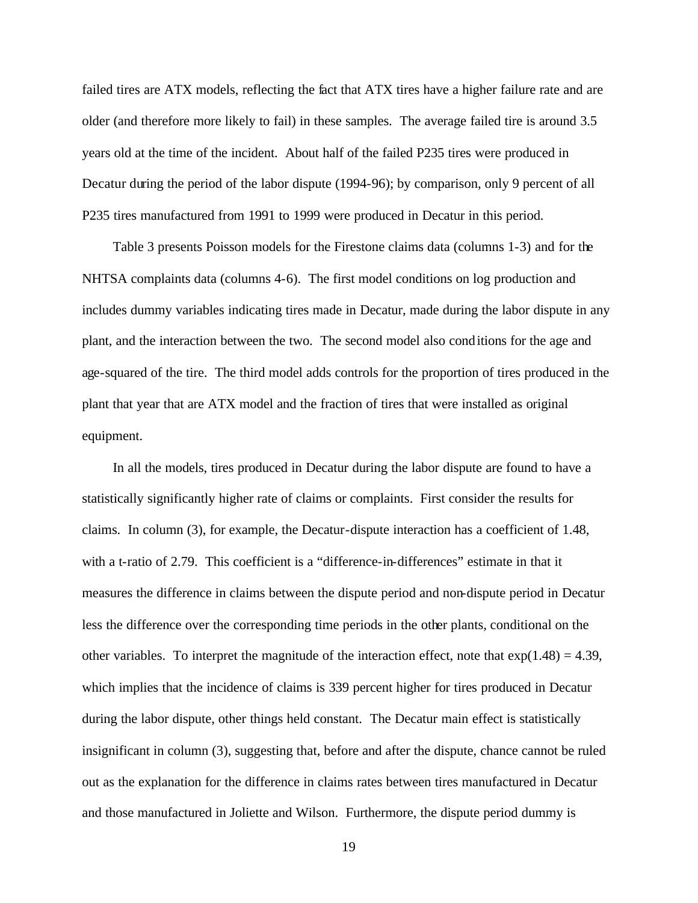failed tires are ATX models, reflecting the fact that ATX tires have a higher failure rate and are older (and therefore more likely to fail) in these samples. The average failed tire is around 3.5 years old at the time of the incident. About half of the failed P235 tires were produced in Decatur during the period of the labor dispute (1994-96); by comparison, only 9 percent of all P235 tires manufactured from 1991 to 1999 were produced in Decatur in this period.

Table 3 presents Poisson models for the Firestone claims data (columns 1-3) and for the NHTSA complaints data (columns 4-6). The first model conditions on log production and includes dummy variables indicating tires made in Decatur, made during the labor dispute in any plant, and the interaction between the two. The second model also conditions for the age and age-squared of the tire. The third model adds controls for the proportion of tires produced in the plant that year that are ATX model and the fraction of tires that were installed as original equipment.

In all the models, tires produced in Decatur during the labor dispute are found to have a statistically significantly higher rate of claims or complaints. First consider the results for claims. In column (3), for example, the Decatur-dispute interaction has a coefficient of 1.48, with a t-ratio of 2.79. This coefficient is a "difference-in-differences" estimate in that it measures the difference in claims between the dispute period and non-dispute period in Decatur less the difference over the corresponding time periods in the other plants, conditional on the other variables. To interpret the magnitude of the interaction effect, note that  $\exp(1.48) = 4.39$ , which implies that the incidence of claims is 339 percent higher for tires produced in Decatur during the labor dispute, other things held constant. The Decatur main effect is statistically insignificant in column (3), suggesting that, before and after the dispute, chance cannot be ruled out as the explanation for the difference in claims rates between tires manufactured in Decatur and those manufactured in Joliette and Wilson. Furthermore, the dispute period dummy is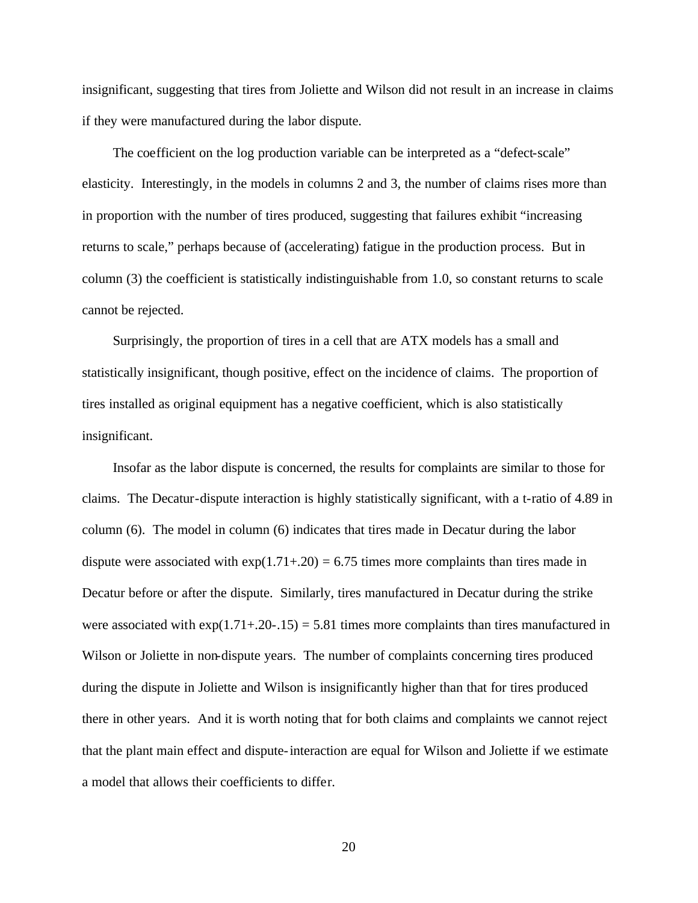insignificant, suggesting that tires from Joliette and Wilson did not result in an increase in claims if they were manufactured during the labor dispute.

The coefficient on the log production variable can be interpreted as a "defect-scale" elasticity. Interestingly, in the models in columns 2 and 3, the number of claims rises more than in proportion with the number of tires produced, suggesting that failures exhibit "increasing returns to scale," perhaps because of (accelerating) fatigue in the production process. But in column (3) the coefficient is statistically indistinguishable from 1.0, so constant returns to scale cannot be rejected.

Surprisingly, the proportion of tires in a cell that are ATX models has a small and statistically insignificant, though positive, effect on the incidence of claims. The proportion of tires installed as original equipment has a negative coefficient, which is also statistically insignificant.

Insofar as the labor dispute is concerned, the results for complaints are similar to those for claims. The Decatur-dispute interaction is highly statistically significant, with a t-ratio of 4.89 in column (6). The model in column (6) indicates that tires made in Decatur during the labor dispute were associated with  $exp(1.71+.20) = 6.75$  times more complaints than tires made in Decatur before or after the dispute. Similarly, tires manufactured in Decatur during the strike were associated with  $exp(1.71+.20-.15) = 5.81$  times more complaints than tires manufactured in Wilson or Joliette in non-dispute years. The number of complaints concerning tires produced during the dispute in Joliette and Wilson is insignificantly higher than that for tires produced there in other years. And it is worth noting that for both claims and complaints we cannot reject that the plant main effect and dispute-interaction are equal for Wilson and Joliette if we estimate a model that allows their coefficients to differ.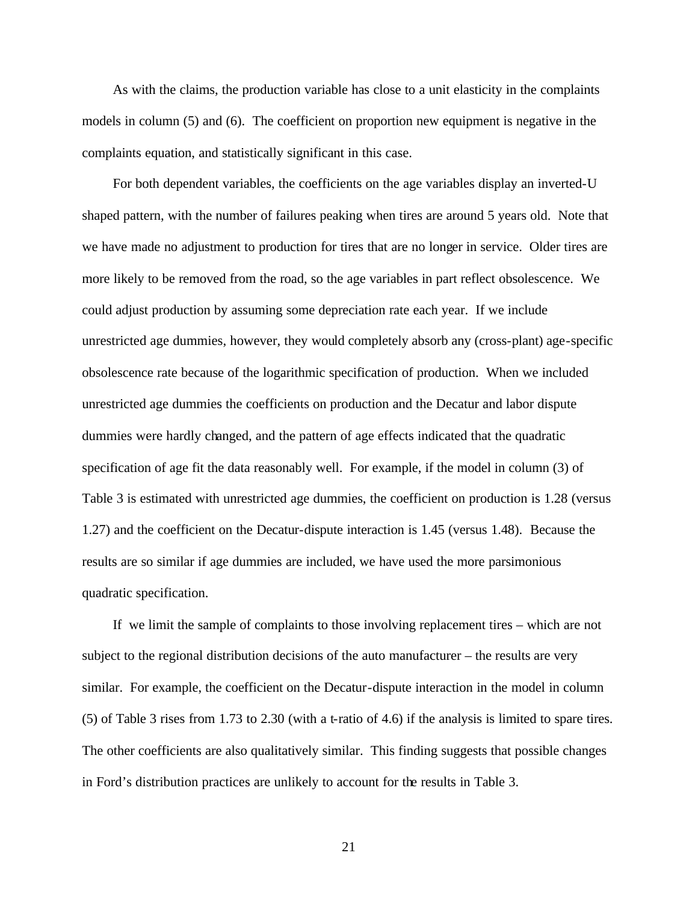As with the claims, the production variable has close to a unit elasticity in the complaints models in column (5) and (6). The coefficient on proportion new equipment is negative in the complaints equation, and statistically significant in this case.

For both dependent variables, the coefficients on the age variables display an inverted-U shaped pattern, with the number of failures peaking when tires are around 5 years old. Note that we have made no adjustment to production for tires that are no longer in service. Older tires are more likely to be removed from the road, so the age variables in part reflect obsolescence. We could adjust production by assuming some depreciation rate each year. If we include unrestricted age dummies, however, they would completely absorb any (cross-plant) age-specific obsolescence rate because of the logarithmic specification of production. When we included unrestricted age dummies the coefficients on production and the Decatur and labor dispute dummies were hardly changed, and the pattern of age effects indicated that the quadratic specification of age fit the data reasonably well. For example, if the model in column (3) of Table 3 is estimated with unrestricted age dummies, the coefficient on production is 1.28 (versus 1.27) and the coefficient on the Decatur-dispute interaction is 1.45 (versus 1.48). Because the results are so similar if age dummies are included, we have used the more parsimonious quadratic specification.

If we limit the sample of complaints to those involving replacement tires – which are not subject to the regional distribution decisions of the auto manufacturer – the results are very similar. For example, the coefficient on the Decatur-dispute interaction in the model in column (5) of Table 3 rises from 1.73 to 2.30 (with a t-ratio of 4.6) if the analysis is limited to spare tires. The other coefficients are also qualitatively similar. This finding suggests that possible changes in Ford's distribution practices are unlikely to account for the results in Table 3.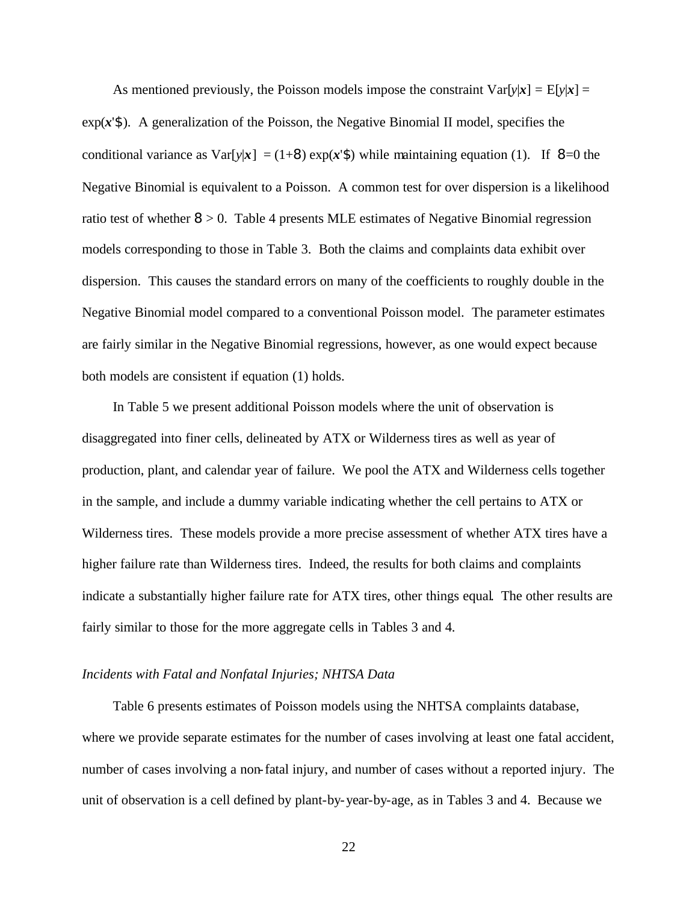As mentioned previously, the Poisson models impose the constraint  $Var[y|x] = E[y|x]$  $exp(x \mid \hat{\mathbf{x}})$ . A generalization of the Poisson, the Negative Binomial II model, specifies the conditional variance as  $Var[y|x] = (1+8) exp(x \cdot \$)$  while maintaining equation (1). If  $8=0$  the Negative Binomial is equivalent to a Poisson. A common test for over dispersion is a likelihood ratio test of whether  $8 > 0$ . Table 4 presents MLE estimates of Negative Binomial regression models corresponding to those in Table 3. Both the claims and complaints data exhibit over dispersion. This causes the standard errors on many of the coefficients to roughly double in the Negative Binomial model compared to a conventional Poisson model. The parameter estimates are fairly similar in the Negative Binomial regressions, however, as one would expect because both models are consistent if equation (1) holds.

In Table 5 we present additional Poisson models where the unit of observation is disaggregated into finer cells, delineated by ATX or Wilderness tires as well as year of production, plant, and calendar year of failure. We pool the ATX and Wilderness cells together in the sample, and include a dummy variable indicating whether the cell pertains to ATX or Wilderness tires. These models provide a more precise assessment of whether ATX tires have a higher failure rate than Wilderness tires. Indeed, the results for both claims and complaints indicate a substantially higher failure rate for ATX tires, other things equal. The other results are fairly similar to those for the more aggregate cells in Tables 3 and 4.

#### *Incidents with Fatal and Nonfatal Injuries; NHTSA Data*

Table 6 presents estimates of Poisson models using the NHTSA complaints database, where we provide separate estimates for the number of cases involving at least one fatal accident, number of cases involving a non-fatal injury, and number of cases without a reported injury. The unit of observation is a cell defined by plant-by-year-by-age, as in Tables 3 and 4. Because we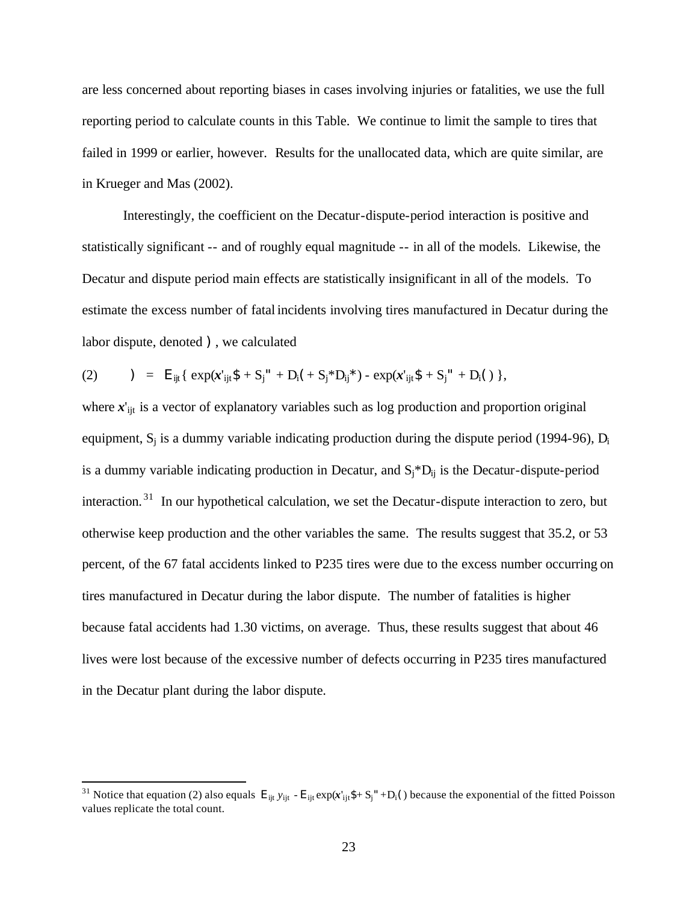are less concerned about reporting biases in cases involving injuries or fatalities, we use the full reporting period to calculate counts in this Table. We continue to limit the sample to tires that failed in 1999 or earlier, however. Results for the unallocated data, which are quite similar, are in Krueger and Mas (2002).

Interestingly, the coefficient on the Decatur-dispute-period interaction is positive and statistically significant -- and of roughly equal magnitude -- in all of the models. Likewise, the Decatur and dispute period main effects are statistically insignificant in all of the models. To estimate the excess number of fatal incidents involving tires manufactured in Decatur during the labor dispute, denoted ), we calculated

(2) 
$$
= E_{ijt} \{ exp(x'_{ijt} \$ + S_j'' + D_i(+S_j^*D_{ij}^*) - exp(x'_{ijt} \$ + S_j'' + D_i() \},
$$

where  $x'_{ijt}$  is a vector of explanatory variables such as log production and proportion original equipment,  $S_j$  is a dummy variable indicating production during the dispute period (1994-96),  $D_i$ is a dummy variable indicating production in Decatur, and  $S_i * D_{ii}$  is the Decatur-dispute-period interaction.<sup>31</sup> In our hypothetical calculation, we set the Decatur-dispute interaction to zero, but otherwise keep production and the other variables the same. The results suggest that 35.2, or 53 percent, of the 67 fatal accidents linked to P235 tires were due to the excess number occurring on tires manufactured in Decatur during the labor dispute. The number of fatalities is higher because fatal accidents had 1.30 victims, on average. Thus, these results suggest that about 46 lives were lost because of the excessive number of defects occurring in P235 tires manufactured in the Decatur plant during the labor dispute.

<sup>&</sup>lt;sup>31</sup> Notice that equation (2) also equals  $E_{ijt} y_{ijt} - E_{ijt} \exp(x'_{ijt} \$ + S\_j'' + D\_i() because the exponential of the fitted Poisson values replicate the total count.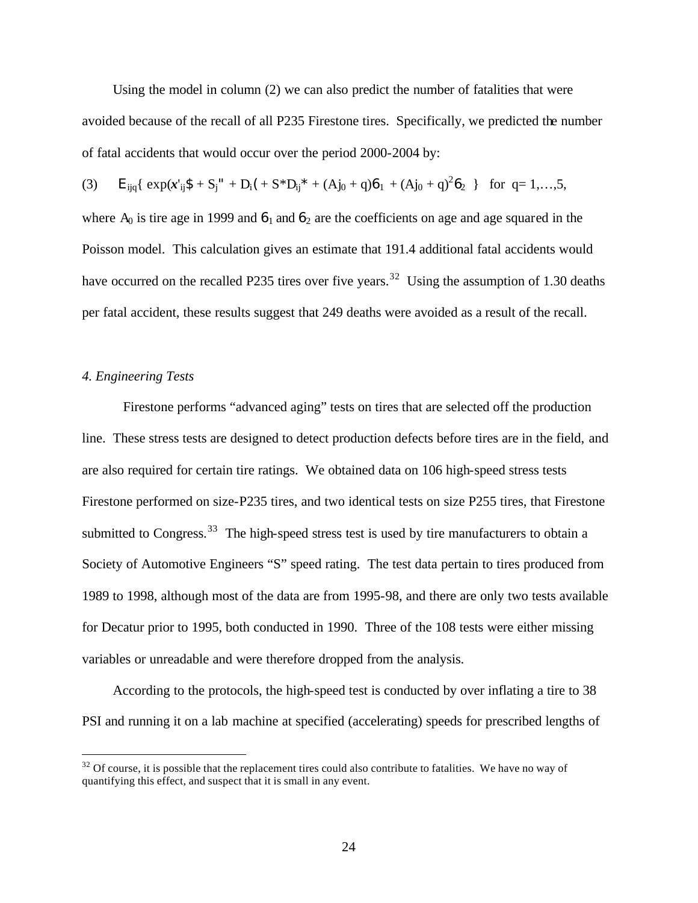Using the model in column (2) we can also predict the number of fatalities that were avoided because of the recall of all P235 Firestone tires. Specifically, we predicted the number of fatal accidents that would occur over the period 2000-2004 by:

(3)  $E_{ijq} \{ exp(x'_{ij} \$ S + S\_j'' + D\_i \left( + S^\* D\_{ij}^\* + (Aj\_0 + q)\right)6\_1 + (Aj\_0 + q)^2 6\_2 \} for q=1,...,5,

where  $A_0$  is tire age in 1999 and  $6_1$  and  $6_2$  are the coefficients on age and age squared in the Poisson model. This calculation gives an estimate that 191.4 additional fatal accidents would have occurred on the recalled P235 tires over five years.<sup>32</sup> Using the assumption of 1.30 deaths per fatal accident, these results suggest that 249 deaths were avoided as a result of the recall.

#### *4. Engineering Tests*

 $\overline{a}$ 

Firestone performs "advanced aging" tests on tires that are selected off the production line. These stress tests are designed to detect production defects before tires are in the field, and are also required for certain tire ratings. We obtained data on 106 high-speed stress tests Firestone performed on size-P235 tires, and two identical tests on size P255 tires, that Firestone submitted to Congress.<sup>33</sup> The high-speed stress test is used by tire manufacturers to obtain a Society of Automotive Engineers "S" speed rating. The test data pertain to tires produced from 1989 to 1998, although most of the data are from 1995-98, and there are only two tests available for Decatur prior to 1995, both conducted in 1990. Three of the 108 tests were either missing variables or unreadable and were therefore dropped from the analysis.

According to the protocols, the high-speed test is conducted by over inflating a tire to 38 PSI and running it on a lab machine at specified (accelerating) speeds for prescribed lengths of

 $32$  Of course, it is possible that the replacement tires could also contribute to fatalities. We have no way of quantifying this effect, and suspect that it is small in any event.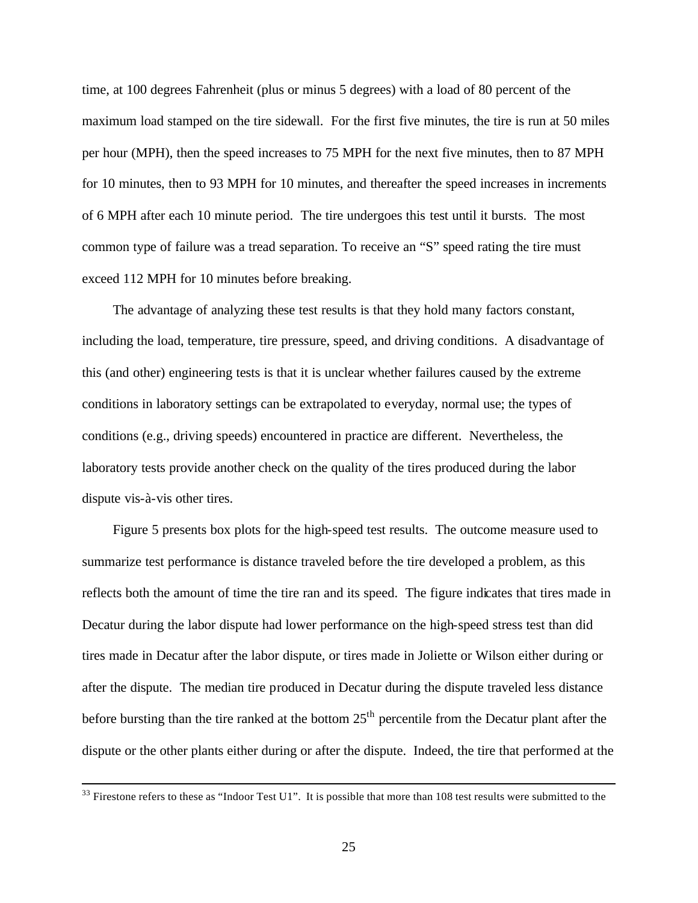time, at 100 degrees Fahrenheit (plus or minus 5 degrees) with a load of 80 percent of the maximum load stamped on the tire sidewall. For the first five minutes, the tire is run at 50 miles per hour (MPH), then the speed increases to 75 MPH for the next five minutes, then to 87 MPH for 10 minutes, then to 93 MPH for 10 minutes, and thereafter the speed increases in increments of 6 MPH after each 10 minute period. The tire undergoes this test until it bursts. The most common type of failure was a tread separation. To receive an "S" speed rating the tire must exceed 112 MPH for 10 minutes before breaking.

The advantage of analyzing these test results is that they hold many factors constant, including the load, temperature, tire pressure, speed, and driving conditions. A disadvantage of this (and other) engineering tests is that it is unclear whether failures caused by the extreme conditions in laboratory settings can be extrapolated to everyday, normal use; the types of conditions (e.g., driving speeds) encountered in practice are different. Nevertheless, the laboratory tests provide another check on the quality of the tires produced during the labor dispute vis-à-vis other tires.

Figure 5 presents box plots for the high-speed test results. The outcome measure used to summarize test performance is distance traveled before the tire developed a problem, as this reflects both the amount of time the tire ran and its speed. The figure indicates that tires made in Decatur during the labor dispute had lower performance on the high-speed stress test than did tires made in Decatur after the labor dispute, or tires made in Joliette or Wilson either during or after the dispute. The median tire produced in Decatur during the dispute traveled less distance before bursting than the tire ranked at the bottom  $25<sup>th</sup>$  percentile from the Decatur plant after the dispute or the other plants either during or after the dispute. Indeed, the tire that performed at the

 $33$  Firestone refers to these as "Indoor Test U1". It is possible that more than 108 test results were submitted to the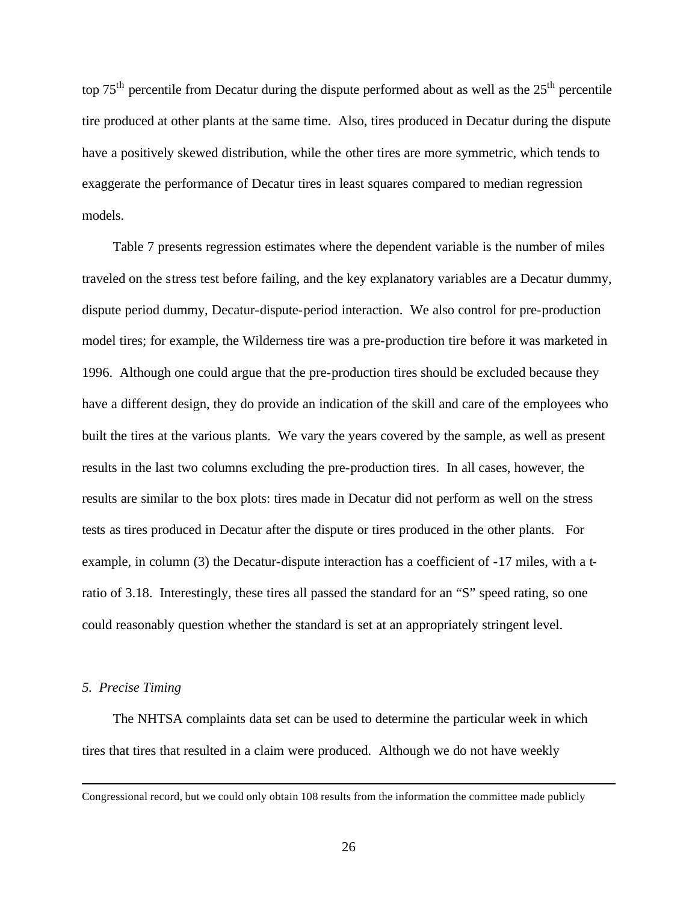top  $75<sup>th</sup>$  percentile from Decatur during the dispute performed about as well as the  $25<sup>th</sup>$  percentile tire produced at other plants at the same time. Also, tires produced in Decatur during the dispute have a positively skewed distribution, while the other tires are more symmetric, which tends to exaggerate the performance of Decatur tires in least squares compared to median regression models.

Table 7 presents regression estimates where the dependent variable is the number of miles traveled on the stress test before failing, and the key explanatory variables are a Decatur dummy, dispute period dummy, Decatur-dispute-period interaction. We also control for pre-production model tires; for example, the Wilderness tire was a pre-production tire before it was marketed in 1996. Although one could argue that the pre-production tires should be excluded because they have a different design, they do provide an indication of the skill and care of the employees who built the tires at the various plants. We vary the years covered by the sample, as well as present results in the last two columns excluding the pre-production tires. In all cases, however, the results are similar to the box plots: tires made in Decatur did not perform as well on the stress tests as tires produced in Decatur after the dispute or tires produced in the other plants. For example, in column (3) the Decatur-dispute interaction has a coefficient of -17 miles, with a tratio of 3.18. Interestingly, these tires all passed the standard for an "S" speed rating, so one could reasonably question whether the standard is set at an appropriately stringent level.

#### *5. Precise Timing*

 $\overline{a}$ 

The NHTSA complaints data set can be used to determine the particular week in which tires that tires that resulted in a claim were produced. Although we do not have weekly

Congressional record, but we could only obtain 108 results from the information the committee made publicly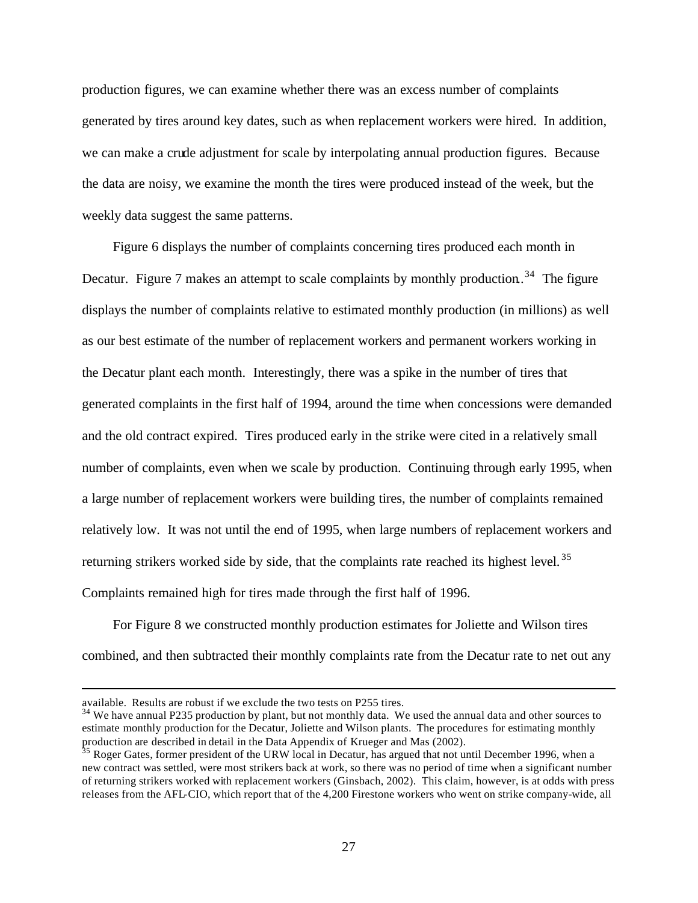production figures, we can examine whether there was an excess number of complaints generated by tires around key dates, such as when replacement workers were hired. In addition, we can make a crude adjustment for scale by interpolating annual production figures. Because the data are noisy, we examine the month the tires were produced instead of the week, but the weekly data suggest the same patterns.

Figure 6 displays the number of complaints concerning tires produced each month in Decatur. Figure 7 makes an attempt to scale complaints by monthly production.<sup>34</sup> The figure displays the number of complaints relative to estimated monthly production (in millions) as well as our best estimate of the number of replacement workers and permanent workers working in the Decatur plant each month. Interestingly, there was a spike in the number of tires that generated complaints in the first half of 1994, around the time when concessions were demanded and the old contract expired. Tires produced early in the strike were cited in a relatively small number of complaints, even when we scale by production. Continuing through early 1995, when a large number of replacement workers were building tires, the number of complaints remained relatively low. It was not until the end of 1995, when large numbers of replacement workers and returning strikers worked side by side, that the complaints rate reached its highest level.<sup>35</sup> Complaints remained high for tires made through the first half of 1996.

For Figure 8 we constructed monthly production estimates for Joliette and Wilson tires combined, and then subtracted their monthly complaints rate from the Decatur rate to net out any

available. Results are robust if we exclude the two tests on P255 tires.

<sup>&</sup>lt;sup>34</sup> We have annual P235 production by plant, but not monthly data. We used the annual data and other sources to estimate monthly production for the Decatur, Joliette and Wilson plants. The procedures for estimating monthly production are described in detail in the Data Appendix of Krueger and Mas (2002).

<sup>&</sup>lt;sup>35</sup> Roger Gates, former president of the URW local in Decatur, has argued that not until December 1996, when a new contract was settled, were most strikers back at work, so there was no period of time when a significant number of returning strikers worked with replacement workers (Ginsbach, 2002). This claim, however, is at odds with press releases from the AFL-CIO, which report that of the 4,200 Firestone workers who went on strike company-wide, all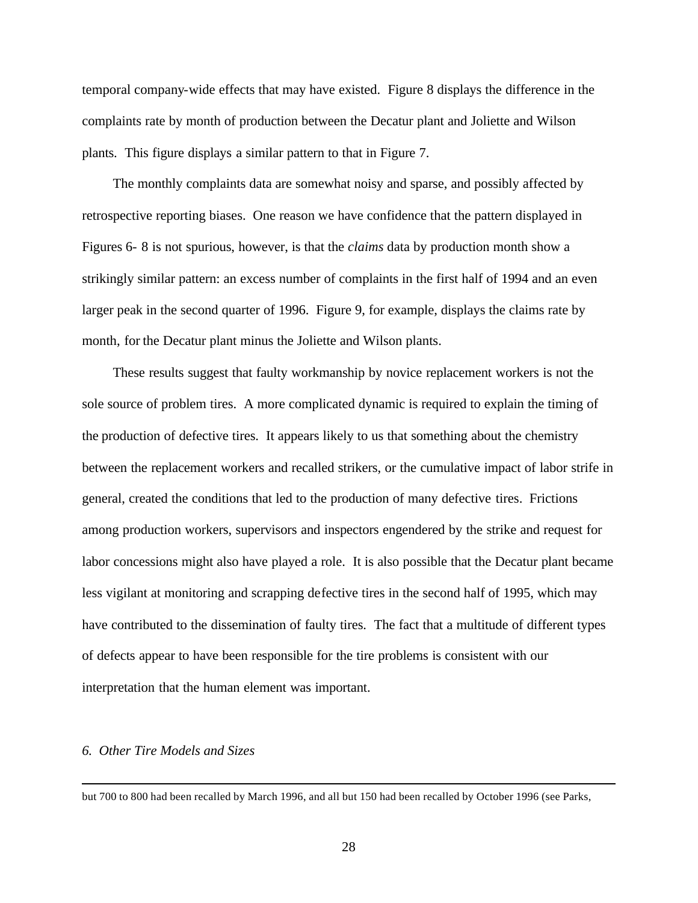temporal company-wide effects that may have existed. Figure 8 displays the difference in the complaints rate by month of production between the Decatur plant and Joliette and Wilson plants. This figure displays a similar pattern to that in Figure 7.

The monthly complaints data are somewhat noisy and sparse, and possibly affected by retrospective reporting biases. One reason we have confidence that the pattern displayed in Figures 6- 8 is not spurious, however, is that the *claims* data by production month show a strikingly similar pattern: an excess number of complaints in the first half of 1994 and an even larger peak in the second quarter of 1996. Figure 9, for example, displays the claims rate by month, for the Decatur plant minus the Joliette and Wilson plants.

These results suggest that faulty workmanship by novice replacement workers is not the sole source of problem tires. A more complicated dynamic is required to explain the timing of the production of defective tires. It appears likely to us that something about the chemistry between the replacement workers and recalled strikers, or the cumulative impact of labor strife in general, created the conditions that led to the production of many defective tires. Frictions among production workers, supervisors and inspectors engendered by the strike and request for labor concessions might also have played a role. It is also possible that the Decatur plant became less vigilant at monitoring and scrapping defective tires in the second half of 1995, which may have contributed to the dissemination of faulty tires. The fact that a multitude of different types of defects appear to have been responsible for the tire problems is consistent with our interpretation that the human element was important.

#### *6. Other Tire Models and Sizes*

but 700 to 800 had been recalled by March 1996, and all but 150 had been recalled by October 1996 (see Parks,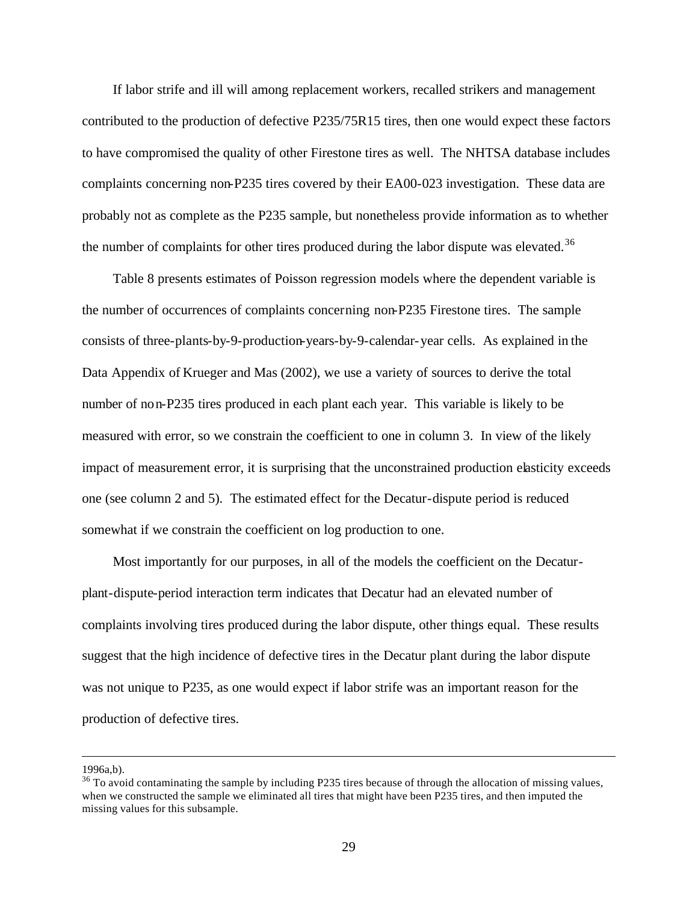If labor strife and ill will among replacement workers, recalled strikers and management contributed to the production of defective P235/75R15 tires, then one would expect these factors to have compromised the quality of other Firestone tires as well. The NHTSA database includes complaints concerning non-P235 tires covered by their EA00-023 investigation. These data are probably not as complete as the P235 sample, but nonetheless provide information as to whether the number of complaints for other tires produced during the labor dispute was elevated.<sup>36</sup>

Table 8 presents estimates of Poisson regression models where the dependent variable is the number of occurrences of complaints concerning non-P235 Firestone tires. The sample consists of three-plants-by-9-production-years-by-9-calendar-year cells. As explained in the Data Appendix of Krueger and Mas (2002), we use a variety of sources to derive the total number of non-P235 tires produced in each plant each year. This variable is likely to be measured with error, so we constrain the coefficient to one in column 3. In view of the likely impact of measurement error, it is surprising that the unconstrained production elasticity exceeds one (see column 2 and 5). The estimated effect for the Decatur-dispute period is reduced somewhat if we constrain the coefficient on log production to one.

Most importantly for our purposes, in all of the models the coefficient on the Decaturplant-dispute-period interaction term indicates that Decatur had an elevated number of complaints involving tires produced during the labor dispute, other things equal. These results suggest that the high incidence of defective tires in the Decatur plant during the labor dispute was not unique to P235, as one would expect if labor strife was an important reason for the production of defective tires.

<sup>1996</sup>a,b).

 $36$  To avoid contaminating the sample by including P235 tires because of through the allocation of missing values, when we constructed the sample we eliminated all tires that might have been P235 tires, and then imputed the missing values for this subsample.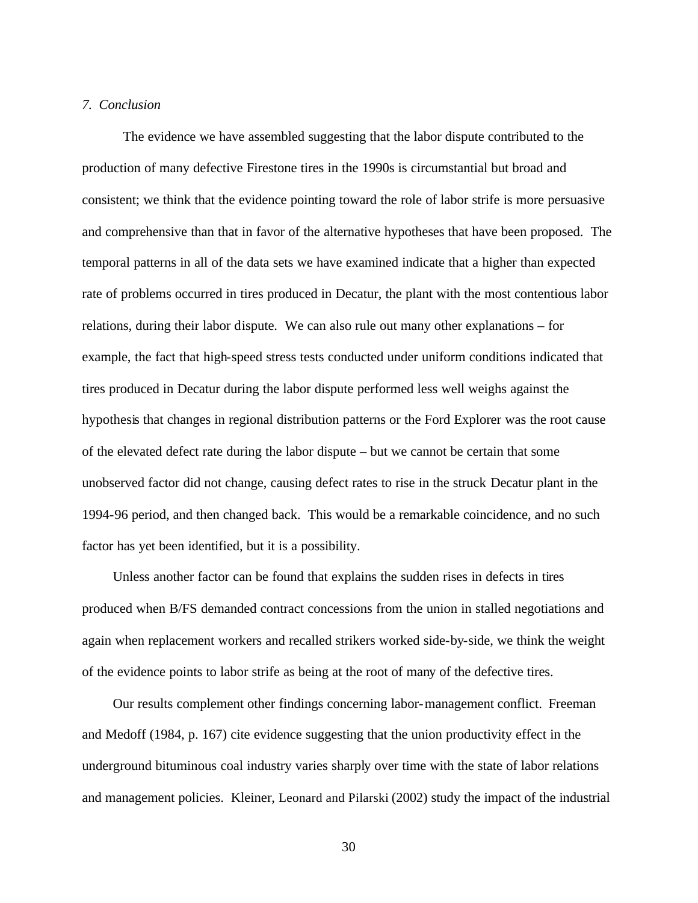#### *7. Conclusion*

The evidence we have assembled suggesting that the labor dispute contributed to the production of many defective Firestone tires in the 1990s is circumstantial but broad and consistent; we think that the evidence pointing toward the role of labor strife is more persuasive and comprehensive than that in favor of the alternative hypotheses that have been proposed. The temporal patterns in all of the data sets we have examined indicate that a higher than expected rate of problems occurred in tires produced in Decatur, the plant with the most contentious labor relations, during their labor dispute. We can also rule out many other explanations – for example, the fact that high-speed stress tests conducted under uniform conditions indicated that tires produced in Decatur during the labor dispute performed less well weighs against the hypothesis that changes in regional distribution patterns or the Ford Explorer was the root cause of the elevated defect rate during the labor dispute – but we cannot be certain that some unobserved factor did not change, causing defect rates to rise in the struck Decatur plant in the 1994-96 period, and then changed back. This would be a remarkable coincidence, and no such factor has yet been identified, but it is a possibility.

Unless another factor can be found that explains the sudden rises in defects in tires produced when B/FS demanded contract concessions from the union in stalled negotiations and again when replacement workers and recalled strikers worked side-by-side, we think the weight of the evidence points to labor strife as being at the root of many of the defective tires.

Our results complement other findings concerning labor-management conflict. Freeman and Medoff (1984, p. 167) cite evidence suggesting that the union productivity effect in the underground bituminous coal industry varies sharply over time with the state of labor relations and management policies. Kleiner, Leonard and Pilarski (2002) study the impact of the industrial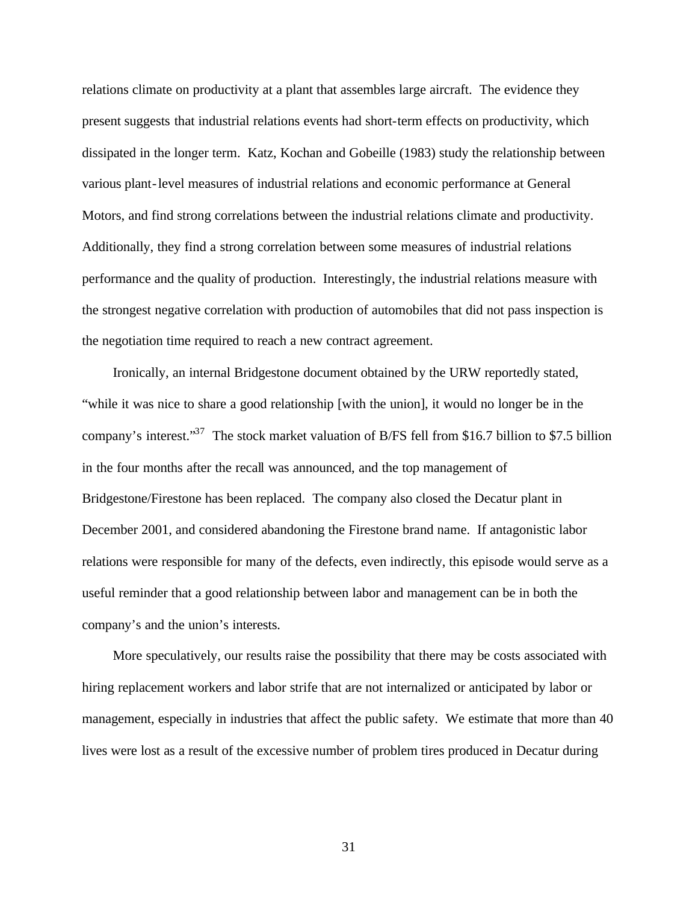relations climate on productivity at a plant that assembles large aircraft. The evidence they present suggests that industrial relations events had short-term effects on productivity, which dissipated in the longer term. Katz, Kochan and Gobeille (1983) study the relationship between various plant-level measures of industrial relations and economic performance at General Motors, and find strong correlations between the industrial relations climate and productivity. Additionally, they find a strong correlation between some measures of industrial relations performance and the quality of production. Interestingly, the industrial relations measure with the strongest negative correlation with production of automobiles that did not pass inspection is the negotiation time required to reach a new contract agreement.

Ironically, an internal Bridgestone document obtained by the URW reportedly stated, "while it was nice to share a good relationship [with the union], it would no longer be in the company's interest."<sup>37</sup> The stock market valuation of B/FS fell from \$16.7 billion to \$7.5 billion in the four months after the recall was announced, and the top management of Bridgestone/Firestone has been replaced. The company also closed the Decatur plant in December 2001, and considered abandoning the Firestone brand name. If antagonistic labor relations were responsible for many of the defects, even indirectly, this episode would serve as a useful reminder that a good relationship between labor and management can be in both the company's and the union's interests.

More speculatively, our results raise the possibility that there may be costs associated with hiring replacement workers and labor strife that are not internalized or anticipated by labor or management, especially in industries that affect the public safety. We estimate that more than 40 lives were lost as a result of the excessive number of problem tires produced in Decatur during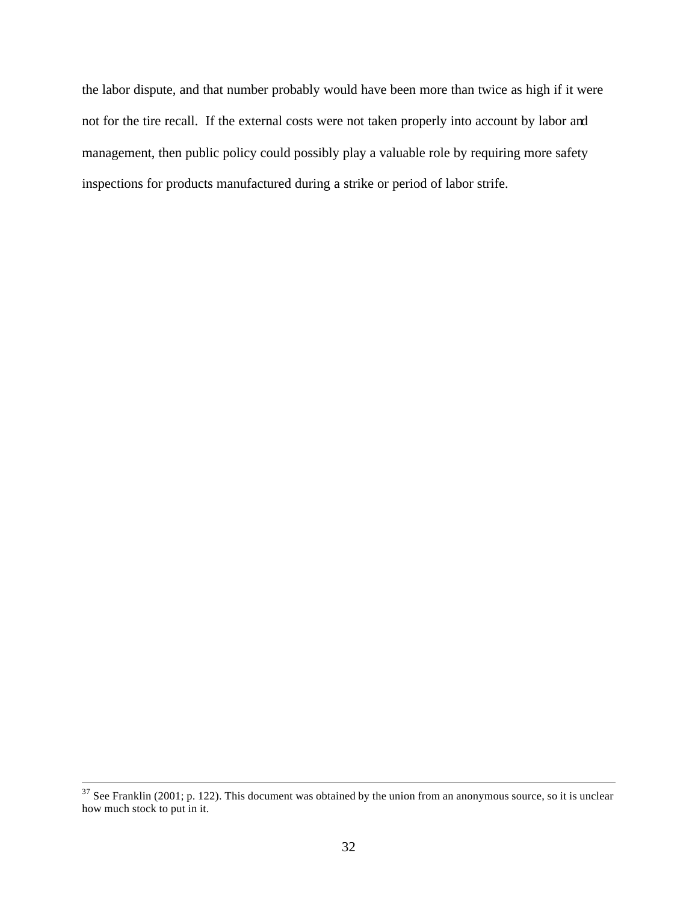the labor dispute, and that number probably would have been more than twice as high if it were not for the tire recall. If the external costs were not taken properly into account by labor and management, then public policy could possibly play a valuable role by requiring more safety inspections for products manufactured during a strike or period of labor strife.

 $37$  See Franklin (2001; p. 122). This document was obtained by the union from an anonymous source, so it is unclear how much stock to put in it.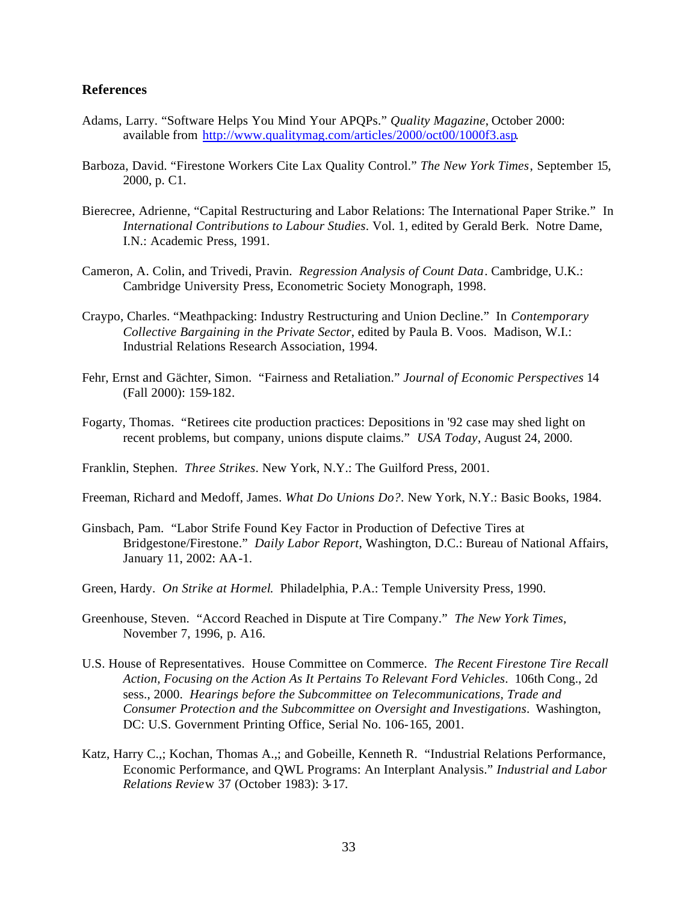#### **References**

- Adams, Larry. "Software Helps You Mind Your APQPs." *Quality Magazine*, October 2000: available from http://www.qualitymag.com/articles/2000/oct00/1000f3.asp.
- Barboza, David. "Firestone Workers Cite Lax Quality Control." *The New York Times*, September 15, 2000, p. C1.
- Bierecree, Adrienne, "Capital Restructuring and Labor Relations: The International Paper Strike." In *International Contributions to Labour Studies*. Vol. 1, edited by Gerald Berk. Notre Dame, I.N.: Academic Press, 1991.
- Cameron, A. Colin, and Trivedi, Pravin. *Regression Analysis of Count Data*. Cambridge, U.K.: Cambridge University Press, Econometric Society Monograph, 1998.
- Craypo, Charles. "Meathpacking: Industry Restructuring and Union Decline." In *Contemporary Collective Bargaining in the Private Sector*, edited by Paula B. Voos. Madison, W.I.: Industrial Relations Research Association, 1994.
- Fehr, Ernst and Gächter, Simon. "Fairness and Retaliation." *Journal of Economic Perspectives* 14 (Fall 2000): 159-182.
- Fogarty, Thomas. "Retirees cite production practices: Depositions in '92 case may shed light on recent problems, but company, unions dispute claims." *USA Today*, August 24, 2000.
- Franklin, Stephen. *Three Strikes*. New York, N.Y.: The Guilford Press, 2001.
- Freeman, Richard and Medoff, James. *What Do Unions Do?*. New York, N.Y.: Basic Books, 1984.
- Ginsbach, Pam. "Labor Strife Found Key Factor in Production of Defective Tires at Bridgestone/Firestone." *Daily Labor Report*, Washington, D.C.: Bureau of National Affairs, January 11, 2002: AA-1.
- Green, Hardy. *On Strike at Hormel*. Philadelphia, P.A.: Temple University Press, 1990.
- Greenhouse, Steven. "Accord Reached in Dispute at Tire Company." *The New York Times*, November 7, 1996, p. A16.
- U.S. House of Representatives. House Committee on Commerce. *The Recent Firestone Tire Recall Action, Focusing on the Action As It Pertains To Relevant Ford Vehicles*. 106th Cong., 2d sess., 2000. *Hearings before the Subcommittee on Telecommunications, Trade and Consumer Protection and the Subcommittee on Oversight and Investigations*. Washington, DC: U.S. Government Printing Office, Serial No. 106-165, 2001.
- Katz, Harry C.,; Kochan, Thomas A.,; and Gobeille, Kenneth R. "Industrial Relations Performance, Economic Performance, and QWL Programs: An Interplant Analysis." *Industrial and Labor Relations Revie*w 37 (October 1983): 3-17.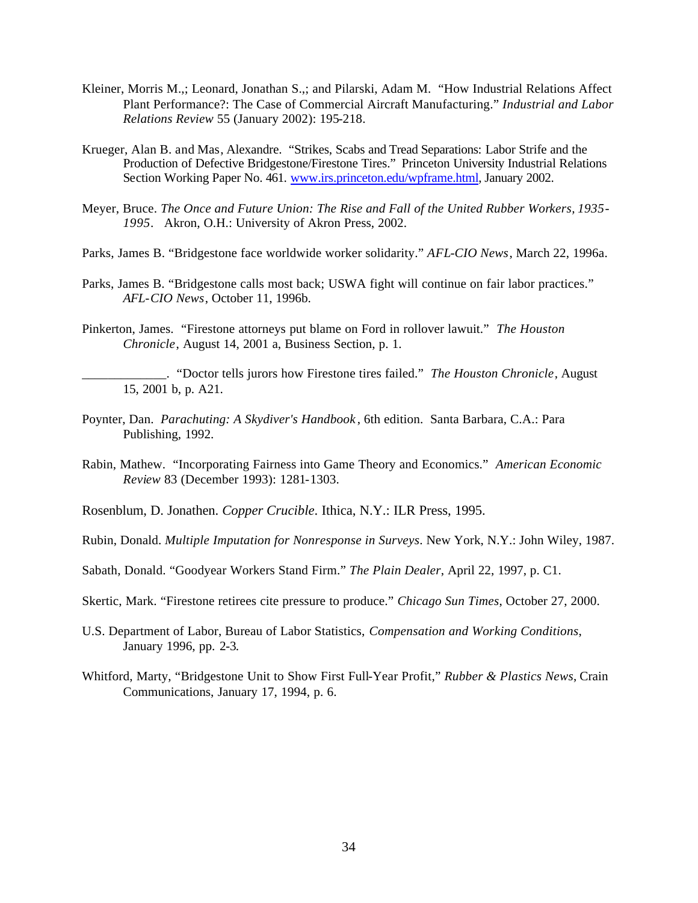- Kleiner, Morris M.,; Leonard, Jonathan S.,; and Pilarski, Adam M. "How Industrial Relations Affect Plant Performance?: The Case of Commercial Aircraft Manufacturing." *Industrial and Labor Relations Review* 55 (January 2002): 195-218.
- Krueger, Alan B. and Mas, Alexandre. "Strikes, Scabs and Tread Separations: Labor Strife and the Production of Defective Bridgestone/Firestone Tires." Princeton University Industrial Relations Section Working Paper No. 461. www.irs.princeton.edu/wpframe.html, January 2002.
- Meyer, Bruce. *The Once and Future Union: The Rise and Fall of the United Rubber Workers, 1935- 1995*. Akron, O.H.: University of Akron Press, 2002.
- Parks, James B. "Bridgestone face worldwide worker solidarity." *AFL-CIO News*, March 22, 1996a.
- Parks, James B. "Bridgestone calls most back; USWA fight will continue on fair labor practices." *AFL-CIO News*, October 11, 1996b.
- Pinkerton, James. "Firestone attorneys put blame on Ford in rollover lawuit." *The Houston Chronicle*, August 14, 2001 a, Business Section, p. 1.
	- \_\_\_\_\_\_\_\_\_\_\_\_\_. "Doctor tells jurors how Firestone tires failed." *The Houston Chronicle*, August 15, 2001 b, p. A21.
- Poynter, Dan. *Parachuting: A Skydiver's Handbook* , 6th edition. Santa Barbara, C.A.: Para Publishing, 1992.
- Rabin, Mathew. "Incorporating Fairness into Game Theory and Economics." *American Economic Review* 83 (December 1993): 1281-1303.
- Rosenblum, D. Jonathen. *Copper Crucible*. Ithica, N.Y.: ILR Press, 1995.
- Rubin, Donald. *Multiple Imputation for Nonresponse in Surveys*. New York, N.Y.: John Wiley, 1987.
- Sabath, Donald. "Goodyear Workers Stand Firm." *The Plain Dealer*, April 22, 1997, p. C1.
- Skertic, Mark. "Firestone retirees cite pressure to produce." *Chicago Sun Times*, October 27, 2000.
- U.S. Department of Labor, Bureau of Labor Statistics, *Compensation and Working Conditions*, January 1996, pp. 2-3.
- Whitford, Marty, "Bridgestone Unit to Show First Full-Year Profit," *Rubber & Plastics News*, Crain Communications, January 17, 1994, p. 6.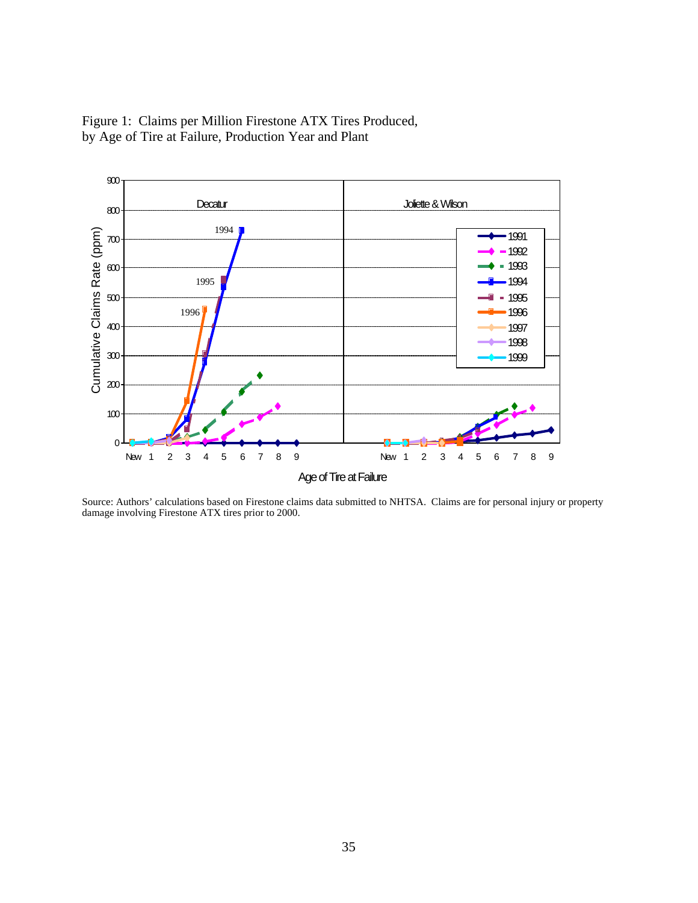

Figure 1: Claims per Million Firestone ATX Tires Produced, by Age of Tire at Failure, Production Year and Plant

Source: Authors' calculations based on Firestone claims data submitted to NHTSA. Claims are for personal injury or property damage involving Firestone ATX tires prior to 2000.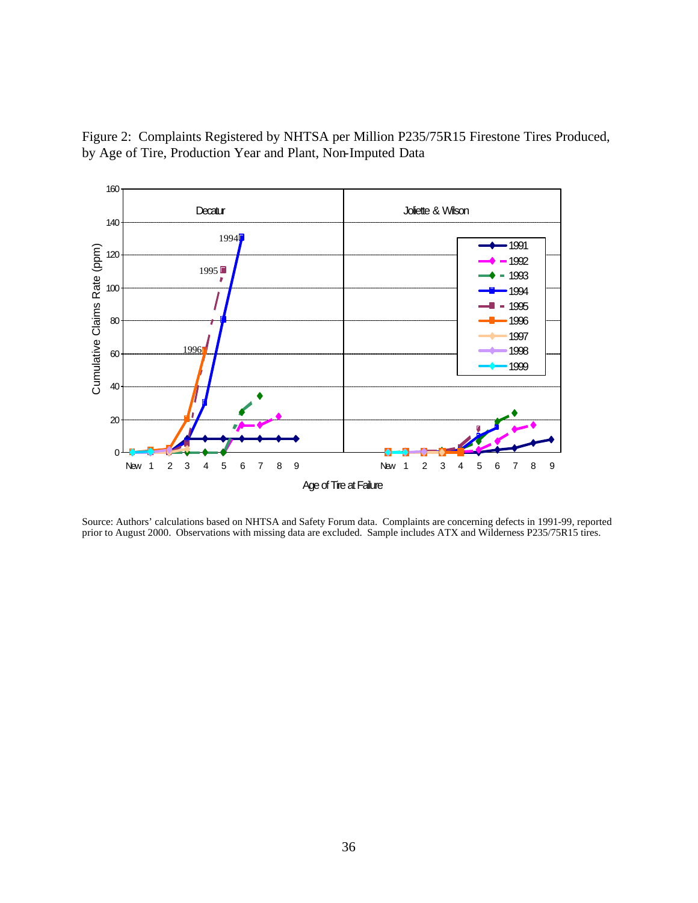Figure 2: Complaints Registered by NHTSA per Million P235/75R15 Firestone Tires Produced, by Age of Tire, Production Year and Plant, Non-Imputed Data



Source: Authors' calculations based on NHTSA and Safety Forum data. Complaints are concerning defects in 1991-99, reported prior to August 2000. Observations with missing data are excluded. Sample includes ATX and Wilderness P235/75R15 tires.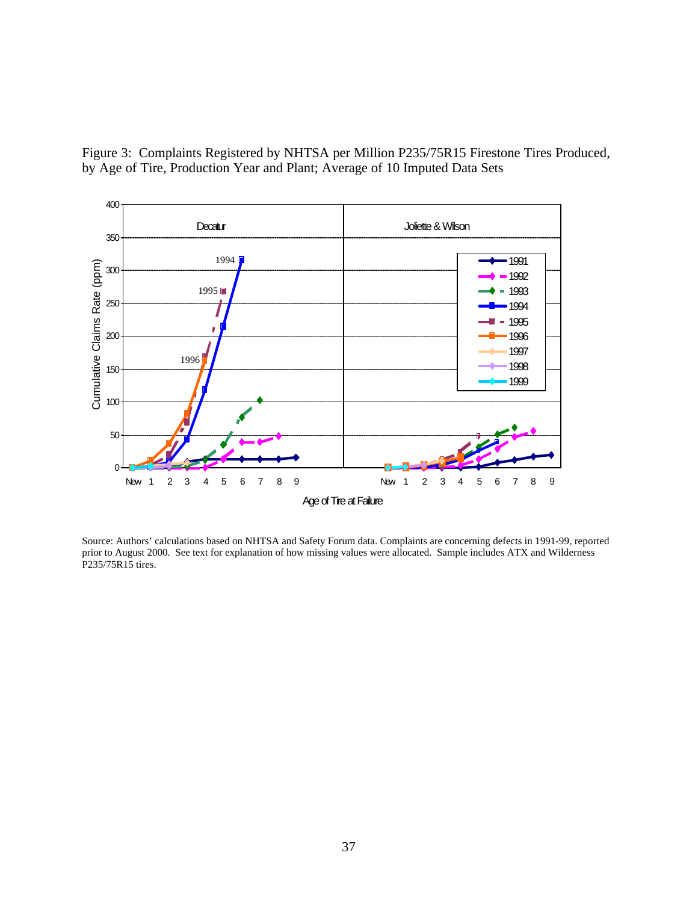



Source: Authors' calculations based on NHTSA and Safety Forum data. Complaints are concerning defects in 1991-99, reported prior to August 2000. See text for explanation of how missing values were allocated. Sample includes ATX and Wilderness P<sub>235</sub>/75R15 tires.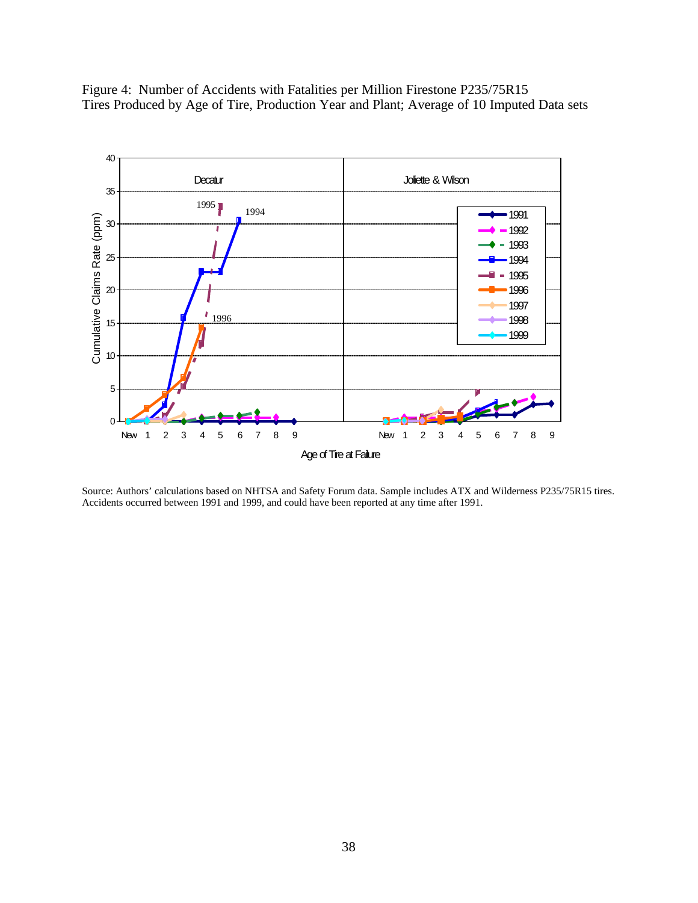Figure 4: Number of Accidents with Fatalities per Million Firestone P235/75R15 Tires Produced by Age of Tire, Production Year and Plant; Average of 10 Imputed Data sets



Source: Authors' calculations based on NHTSA and Safety Forum data. Sample includes ATX and Wilderness P235/75R15 tires. Accidents occurred between 1991 and 1999, and could have been reported at any time after 1991.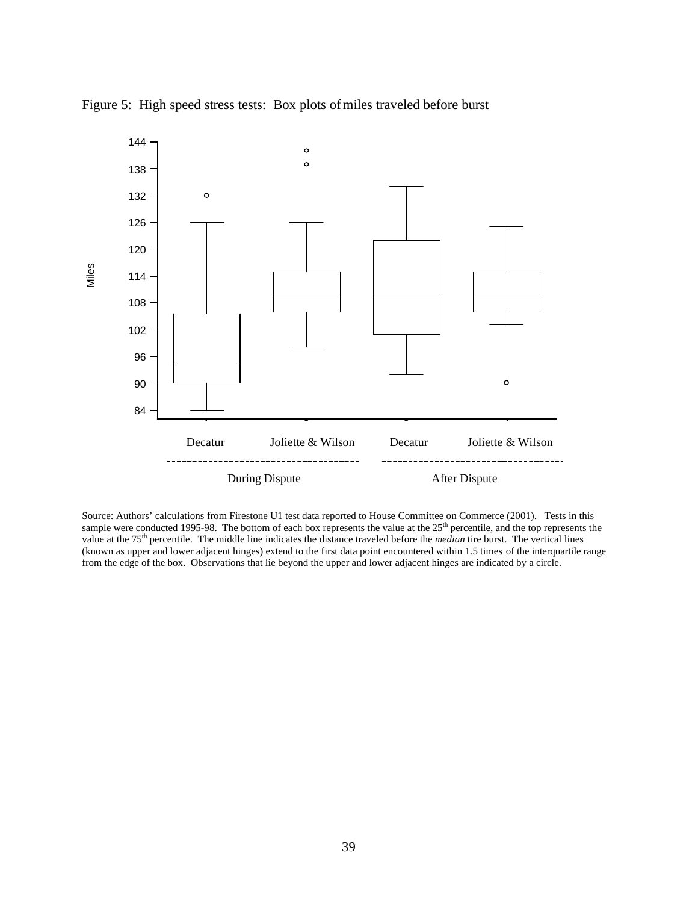

Figure 5: High speed stress tests: Box plots of miles traveled before burst

Source: Authors' calculations from Firestone U1 test data reported to House Committee on Commerce (2001). Tests in this sample were conducted 1995-98. The bottom of each box represents the value at the 25<sup>th</sup> percentile, and the top represents the value at the 75<sup>th</sup> percentile. The middle line indicates the distance traveled before the *median* tire burst. The vertical lines (known as upper and lower adjacent hinges) extend to the first data point encountered within 1.5 times of the interquartile range from the edge of the box. Observations that lie beyond the upper and lower adjacent hinges a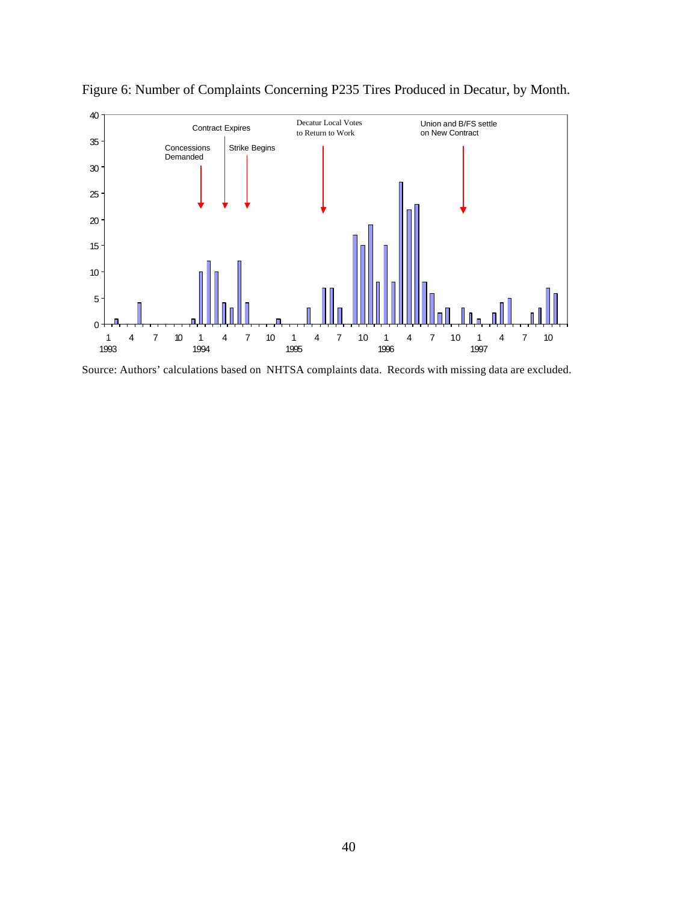



Source: Authors' calculations based on NHTSA complaints data. Records with missing data are excluded.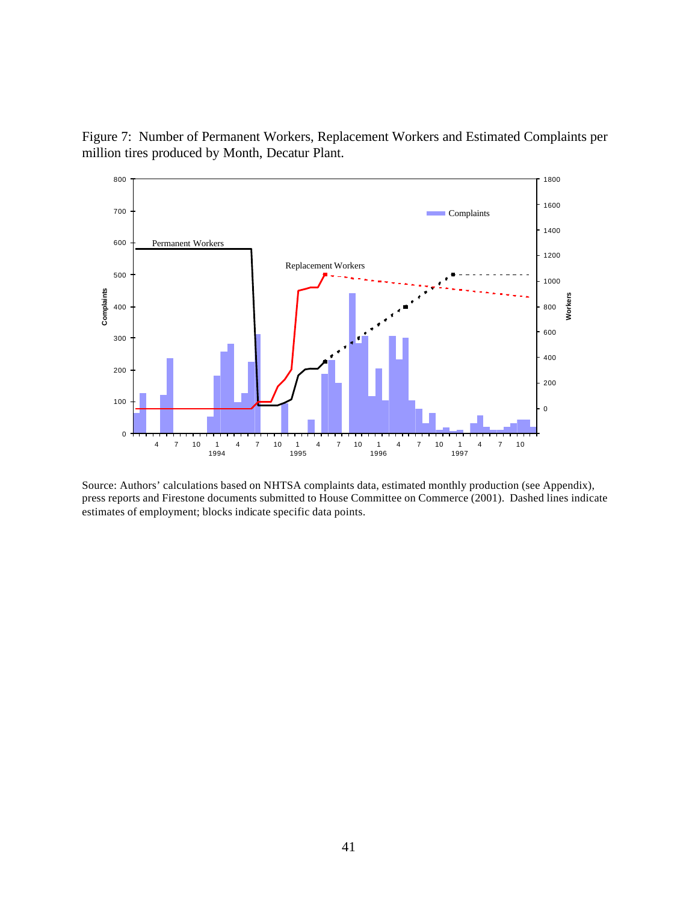

Figure 7: Number of Permanent Workers, Replacement Workers and Estimated Complaints per million tires produced by Month, Decatur Plant.

Source: Authors' calculations based on NHTSA complaints data, estimated monthly production (see Appendix), press reports and Firestone documents submitted to House Committee on Commerce (2001). Dashed lines indicate estimates of employment; blocks indicate specific data points.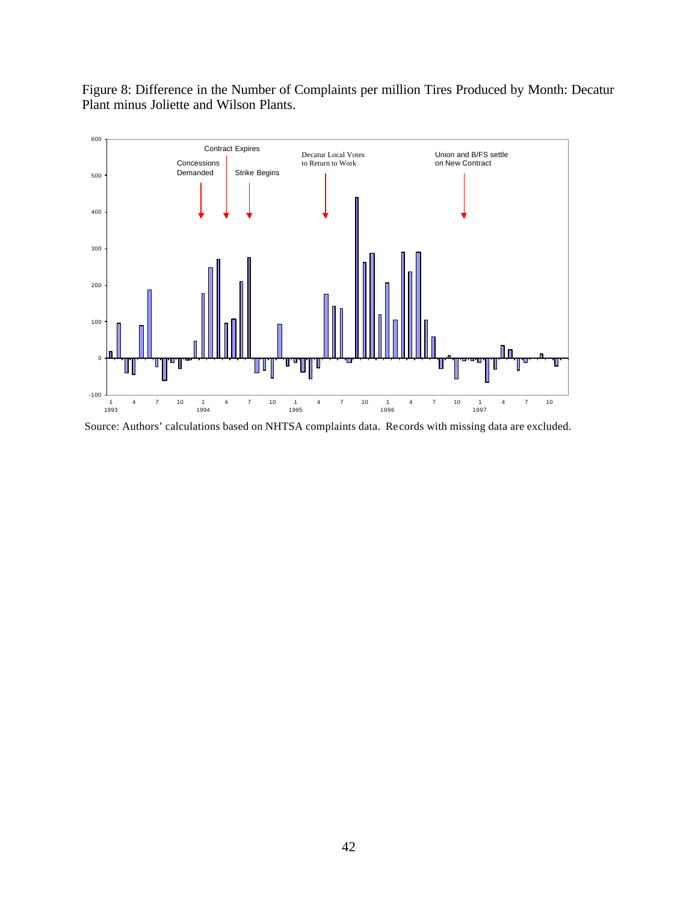Figure 8: Difference in the Number of Complaints per million Tires Produced by Month: Decatur Plant minus Joliette and Wilson Plants.



Source: Authors' calculations based on NHTSA complaints data. Records with missing data are excluded.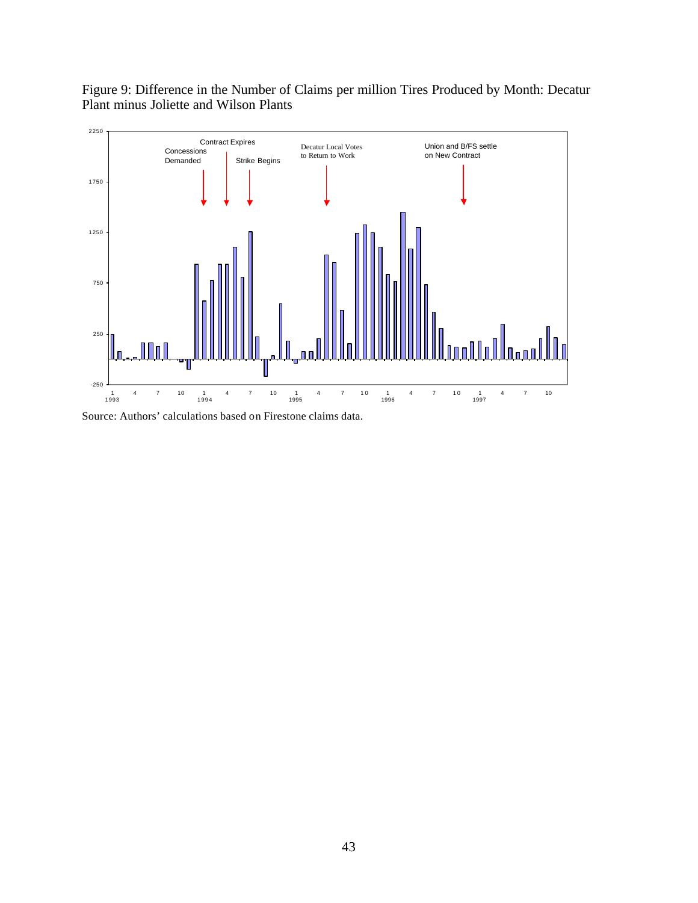Figure 9: Difference in the Number of Claims per million Tires Produced by Month: Decatur Plant minus Joliette and Wilson Plants



Source: Authors' calculations based on Firestone claims data.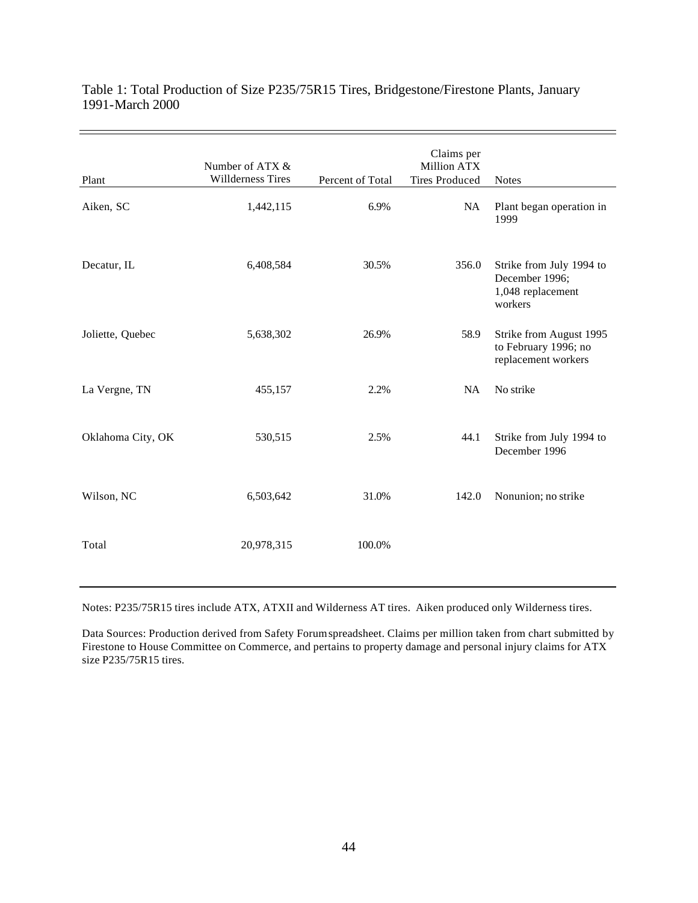| Plant             | Number of ATX &<br><b>Willderness Tires</b> | Percent of Total | Claims per<br>Million ATX<br><b>Tires Produced</b> | <b>Notes</b>                                                               |
|-------------------|---------------------------------------------|------------------|----------------------------------------------------|----------------------------------------------------------------------------|
| Aiken, SC         | 1,442,115                                   | 6.9%             | NA                                                 | Plant began operation in<br>1999                                           |
| Decatur, IL       | 6,408,584                                   | 30.5%            | 356.0                                              | Strike from July 1994 to<br>December 1996;<br>1,048 replacement<br>workers |
| Joliette, Quebec  | 5,638,302                                   | 26.9%            | 58.9                                               | Strike from August 1995<br>to February 1996; no<br>replacement workers     |
| La Vergne, TN     | 455,157                                     | 2.2%             | NA                                                 | No strike                                                                  |
| Oklahoma City, OK | 530,515                                     | 2.5%             | 44.1                                               | Strike from July 1994 to<br>December 1996                                  |
| Wilson, NC        | 6,503,642                                   | 31.0%            | 142.0                                              | Nonunion; no strike                                                        |
| Total             | 20,978,315                                  | 100.0%           |                                                    |                                                                            |

### Table 1: Total Production of Size P235/75R15 Tires, Bridgestone/Firestone Plants, January 1991-March 2000

Notes: P235/75R15 tires include ATX, ATXII and Wilderness AT tires. Aiken produced only Wilderness tires.

Data Sources: Production derived from Safety Forum spreadsheet. Claims per million taken from chart submitted by Firestone to House Committee on Commerce, and pertains to property damage and personal injury claims for ATX size P235/75R15 tires.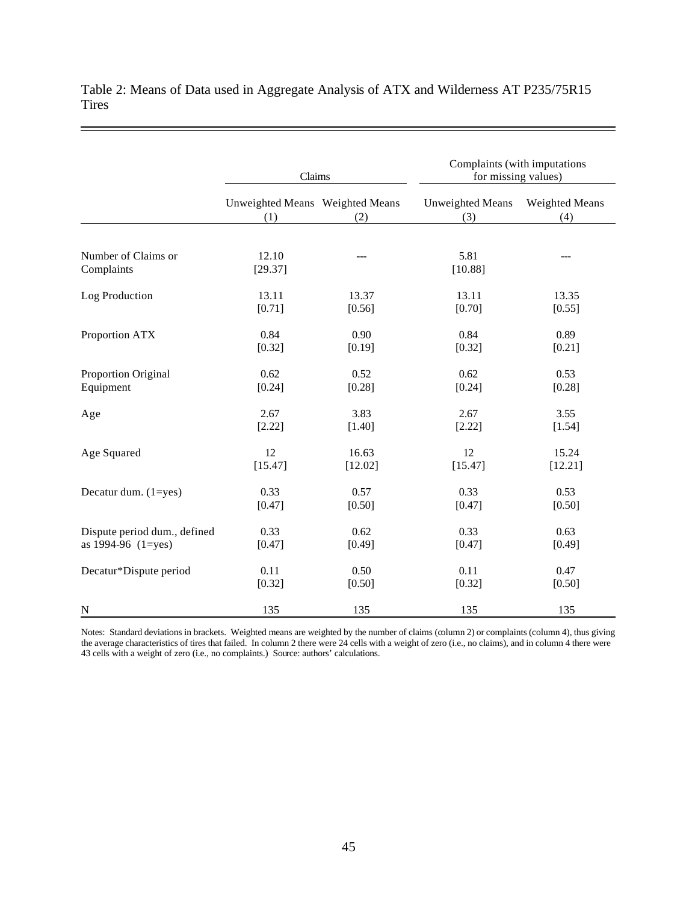|                                   | Claims                                 |         | Complaints (with imputations<br>for missing values) |                              |  |  |
|-----------------------------------|----------------------------------------|---------|-----------------------------------------------------|------------------------------|--|--|
|                                   | Unweighted Means Weighted Means<br>(1) | (2)     | Unweighted Means<br>(3)                             | <b>Weighted Means</b><br>(4) |  |  |
|                                   |                                        |         |                                                     |                              |  |  |
| Number of Claims or<br>Complaints | 12.10<br>[29.37]                       |         | 5.81<br>[10.88]                                     |                              |  |  |
| Log Production                    | 13.11                                  | 13.37   | 13.11                                               | 13.35                        |  |  |
|                                   | [0.71]                                 | [0.56]  | [0.70]                                              | [0.55]                       |  |  |
| Proportion ATX                    | 0.84                                   | 0.90    | 0.84                                                | 0.89                         |  |  |
|                                   | [0.32]                                 | [0.19]  | [0.32]                                              | [0.21]                       |  |  |
| Proportion Original               | 0.62                                   | 0.52    | 0.62                                                | 0.53                         |  |  |
| Equipment                         | [0.24]                                 | [0.28]  | [0.24]                                              | [0.28]                       |  |  |
| Age                               | 2.67                                   | 3.83    | 2.67                                                | 3.55                         |  |  |
|                                   | [2.22]                                 | [1.40]  | [2.22]                                              | [1.54]                       |  |  |
| Age Squared                       | 12                                     | 16.63   | 12                                                  | 15.24                        |  |  |
|                                   | [15.47]                                | [12.02] | [15.47]                                             | [12.21]                      |  |  |
| Decatur dum. (1=yes)              | 0.33                                   | 0.57    | 0.33                                                | 0.53                         |  |  |
|                                   | [0.47]                                 | [0.50]  | [0.47]                                              | [0.50]                       |  |  |
| Dispute period dum., defined      | 0.33                                   | 0.62    | 0.33                                                | 0.63                         |  |  |
| as 1994-96 (1=yes)                | [0.47]                                 | [0.49]  | [0.47]                                              | [0.49]                       |  |  |
| Decatur*Dispute period            | 0.11                                   | 0.50    | 0.11                                                | 0.47                         |  |  |
|                                   | [0.32]                                 | [0.50]  | [0.32]                                              | [0.50]                       |  |  |
| N                                 | 135                                    | 135     | 135                                                 | 135                          |  |  |

Table 2: Means of Data used in Aggregate Analysis of ATX and Wilderness AT P235/75R15 Tires

Notes: Standard deviations in brackets. Weighted means are weighted by the number of claims (column 2) or complaints (column 4), thus giving the average characteristics of tires that failed. In column 2 there were 24 cells with a weight of zero (i.e., no claims), and in column 4 there were 43 cells with a weight of zero (i.e., no complaints.) Source: authors' calculations.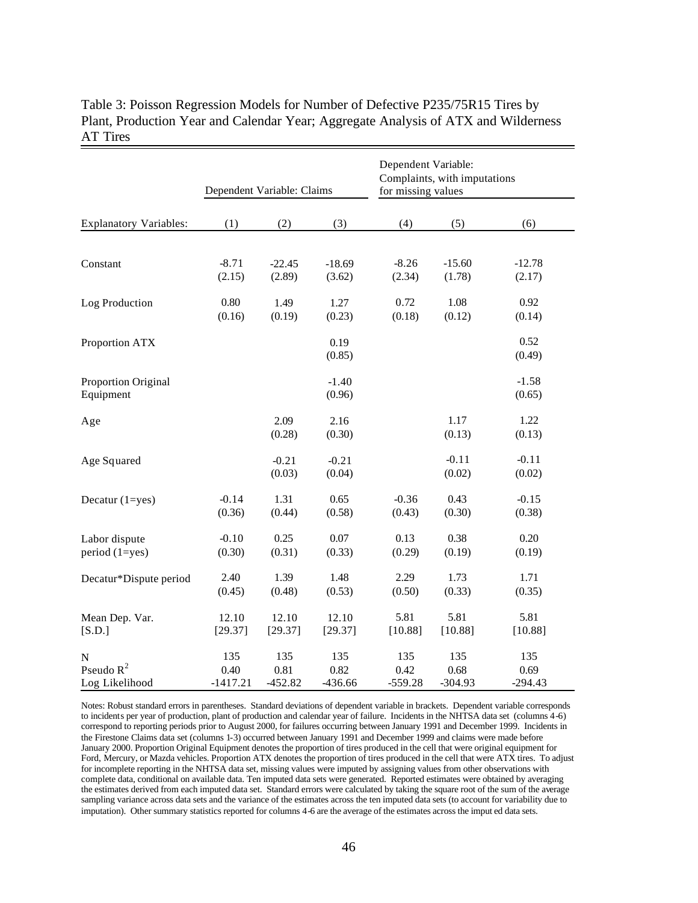|                                  | Dependent Variable: Claims |                   |                   | Dependent Variable:<br>Complaints, with imputations<br>for missing values |                   |                   |
|----------------------------------|----------------------------|-------------------|-------------------|---------------------------------------------------------------------------|-------------------|-------------------|
| <b>Explanatory Variables:</b>    | (1)                        | (2)               | (3)               | (4)                                                                       | (5)               | (6)               |
| Constant                         | $-8.71$                    | $-22.45$          | $-18.69$          | $-8.26$                                                                   | $-15.60$          | $-12.78$          |
|                                  | (2.15)                     | (2.89)            | (3.62)            | (2.34)                                                                    | (1.78)            | (2.17)            |
| Log Production                   | 0.80                       | 1.49              | 1.27              | 0.72                                                                      | 1.08              | 0.92              |
|                                  | (0.16)                     | (0.19)            | (0.23)            | (0.18)                                                                    | (0.12)            | (0.14)            |
| Proportion ATX                   |                            |                   | 0.19<br>(0.85)    |                                                                           |                   | 0.52<br>(0.49)    |
| Proportion Original<br>Equipment |                            |                   | $-1.40$<br>(0.96) |                                                                           |                   | $-1.58$<br>(0.65) |
| Age                              |                            | 2.09<br>(0.28)    | 2.16<br>(0.30)    |                                                                           | 1.17<br>(0.13)    | 1.22<br>(0.13)    |
| Age Squared                      |                            | $-0.21$<br>(0.03) | $-0.21$<br>(0.04) |                                                                           | $-0.11$<br>(0.02) | $-0.11$<br>(0.02) |
| Decatur $(1 = yes)$              | $-0.14$                    | 1.31              | 0.65              | $-0.36$                                                                   | 0.43              | $-0.15$           |
|                                  | (0.36)                     | (0.44)            | (0.58)            | (0.43)                                                                    | (0.30)            | (0.38)            |
| Labor dispute                    | $-0.10$                    | 0.25              | 0.07              | 0.13                                                                      | 0.38              | 0.20              |
| $period (1 = yes)$               | (0.30)                     | (0.31)            | (0.33)            | (0.29)                                                                    | (0.19)            | (0.19)            |
| Decatur*Dispute period           | 2.40                       | 1.39              | 1.48              | 2.29                                                                      | 1.73              | 1.71              |
|                                  | (0.45)                     | (0.48)            | (0.53)            | (0.50)                                                                    | (0.33)            | (0.35)            |
| Mean Dep. Var.                   | 12.10                      | 12.10             | 12.10             | 5.81                                                                      | 5.81              | 5.81              |
| [S.D.]                           | [29.37]                    | [29.37]           | [29.37]           | [10.88]                                                                   | [10.88]           | [10.88]           |
| N                                | 135                        | 135               | 135               | 135                                                                       | 135               | 135               |
| Pseudo $R^2$                     | 0.40                       | 0.81              | 0.82              | 0.42                                                                      | 0.68              | 0.69              |
| Log Likelihood                   | $-1417.21$                 | $-452.82$         | $-436.66$         | $-559.28$                                                                 | $-304.93$         | $-294.43$         |

Table 3: Poisson Regression Models for Number of Defective P235/75R15 Tires by Plant, Production Year and Calendar Year; Aggregate Analysis of ATX and Wilderness AT Tires

Notes: Robust standard errors in parentheses. Standard deviations of dependent variable in brackets. Dependent variable corresponds to incidents per year of production, plant of production and calendar year of failure. Incidents in the NHTSA data set (columns 4-6) correspond to reporting periods prior to August 2000, for failures occurring between January 1991 and December 1999. Incidents in the Firestone Claims data set (columns 1-3) occurred between January 1991 and December 1999 and claims were made before January 2000. Proportion Original Equipment denotes the proportion of tires produced in the cell that were original equipment for Ford, Mercury, or Mazda vehicles. Proportion ATX denotes the proportion of tires produced in the cell that were ATX tires. To adjust for incomplete reporting in the NHTSA data set, missing values were imputed by assigning values from other observations with complete data, conditional on available data. Ten imputed data sets were generated. Reported estimates were obtained by averaging the estimates derived from each imputed data set. Standard errors were calculated by taking the square root of the sum of the average sampling variance across data sets and the variance of the estimates across the ten imputed data sets (to account for variability due to imputation). Other summary statistics reported for columns 4-6 are the average of the estimates across the imput ed data sets.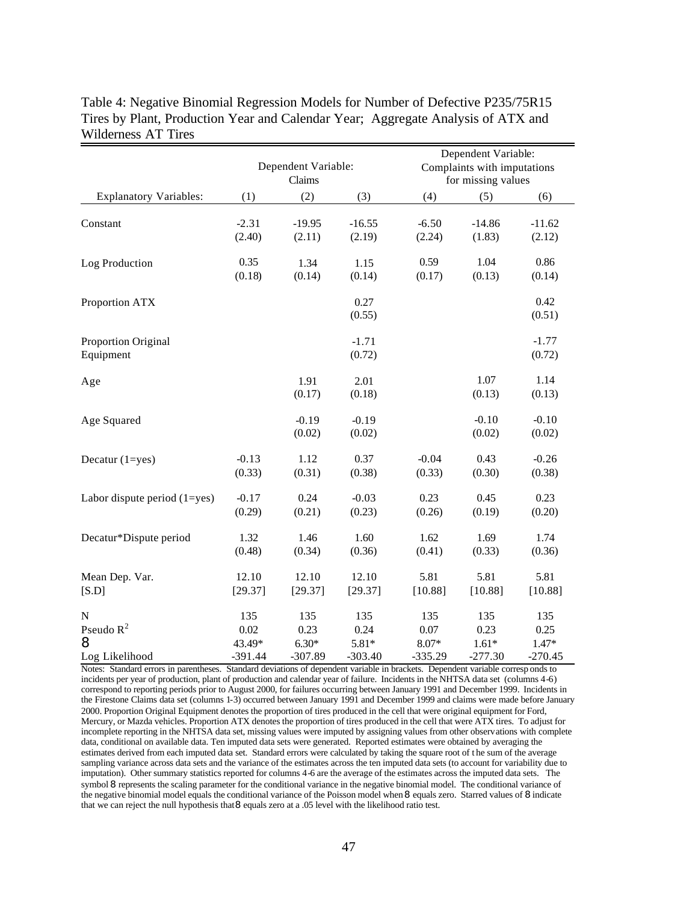|                                  |           | Dependent Variable:<br>Claims |                   | Dependent Variable:<br>Complaints with imputations<br>for missing values |                   |                   |  |
|----------------------------------|-----------|-------------------------------|-------------------|--------------------------------------------------------------------------|-------------------|-------------------|--|
| <b>Explanatory Variables:</b>    | (1)       | (2)                           | (3)               | (4)                                                                      | (5)               | (6)               |  |
| Constant                         | $-2.31$   | $-19.95$                      | $-16.55$          | $-6.50$                                                                  | $-14.86$          | $-11.62$          |  |
|                                  | (2.40)    | (2.11)                        | (2.19)            | (2.24)                                                                   | (1.83)            | (2.12)            |  |
| Log Production                   | 0.35      | 1.34                          | 1.15              | 0.59                                                                     | 1.04              | 0.86              |  |
|                                  | (0.18)    | (0.14)                        | (0.14)            | (0.17)                                                                   | (0.13)            | (0.14)            |  |
| Proportion ATX                   |           |                               | 0.27<br>(0.55)    |                                                                          |                   | 0.42<br>(0.51)    |  |
| Proportion Original<br>Equipment |           |                               | $-1.71$<br>(0.72) |                                                                          |                   | $-1.77$<br>(0.72) |  |
| Age                              |           | 1.91<br>(0.17)                | 2.01<br>(0.18)    |                                                                          | 1.07<br>(0.13)    | 1.14<br>(0.13)    |  |
| Age Squared                      |           | $-0.19$<br>(0.02)             | $-0.19$<br>(0.02) |                                                                          | $-0.10$<br>(0.02) | $-0.10$<br>(0.02) |  |
| Decatur $(1 = yes)$              | $-0.13$   | 1.12                          | 0.37              | $-0.04$                                                                  | 0.43              | $-0.26$           |  |
|                                  | (0.33)    | (0.31)                        | (0.38)            | (0.33)                                                                   | (0.30)            | (0.38)            |  |
| Labor dispute period $(1 = yes)$ | $-0.17$   | 0.24                          | $-0.03$           | 0.23                                                                     | 0.45              | 0.23              |  |
|                                  | (0.29)    | (0.21)                        | (0.23)            | (0.26)                                                                   | (0.19)            | (0.20)            |  |
| Decatur*Dispute period           | 1.32      | 1.46                          | 1.60              | 1.62                                                                     | 1.69              | 1.74              |  |
|                                  | (0.48)    | (0.34)                        | (0.36)            | (0.41)                                                                   | (0.33)            | (0.36)            |  |
| Mean Dep. Var.                   | 12.10     | 12.10                         | 12.10             | 5.81                                                                     | 5.81              | 5.81              |  |
| [S.D]                            | [29.37]   | [29.37]                       | [29.37]           | [10.88]                                                                  | [10.88]           | [10.88]           |  |
| N                                | 135       | 135                           | 135               | 135                                                                      | 135               | 135               |  |
| Pseudo $R^2$                     | 0.02      | 0.23                          | 0.24              | 0.07                                                                     | 0.23              | 0.25              |  |
| 8                                | 43.49*    | $6.30*$                       | $5.81*$           | $8.07*$                                                                  | $1.61*$           | $1.47*$           |  |
| Log Likelihood                   | $-391.44$ | $-307.89$                     | $-303.40$         | $-335.29$                                                                | $-277.30$         | $-270.45$         |  |

Table 4: Negative Binomial Regression Models for Number of Defective P235/75R15 Tires by Plant, Production Year and Calendar Year; Aggregate Analysis of ATX and Wilderness AT Tires

Notes: Standard errors in parentheses. Standard deviations of dependent variable in brackets. Dependent variable corresp onds to incidents per year of production, plant of production and calendar year of failure. Incidents in the NHTSA data set (columns 4-6) correspond to reporting periods prior to August 2000, for failures occurring between January 1991 and December 1999. Incidents in the Firestone Claims data set (columns 1-3) occurred between January 1991 and December 1999 and claims were made before January 2000. Proportion Original Equipment denotes the proportion of tires produced in the cell that were original equipment for Ford, Mercury, or Mazda vehicles. Proportion ATX denotes the proportion of tires produced in the cell that were ATX tires. To adjust for incomplete reporting in the NHTSA data set, missing values were imputed by assigning values from other observations with complete data, conditional on available data. Ten imputed data sets were generated. Reported estimates were obtained by averaging the estimates derived from each imputed data set. Standard errors were calculated by taking the square root of t he sum of the average sampling variance across data sets and the variance of the estimates across the ten imputed data sets (to account for variability due to imputation). Other summary statistics reported for columns 4-6 are the average of the estimates across the imputed data sets. The symbol 8 represents the scaling parameter for the conditional variance in the negative binomial model. The conditional variance of the negative binomial model equals the conditional variance of the Poisson model when 8 equals zero. Starred values of 8 indicate that we can reject the null hypothesis that 8 equals zero at a .05 level with the likelihood ratio test.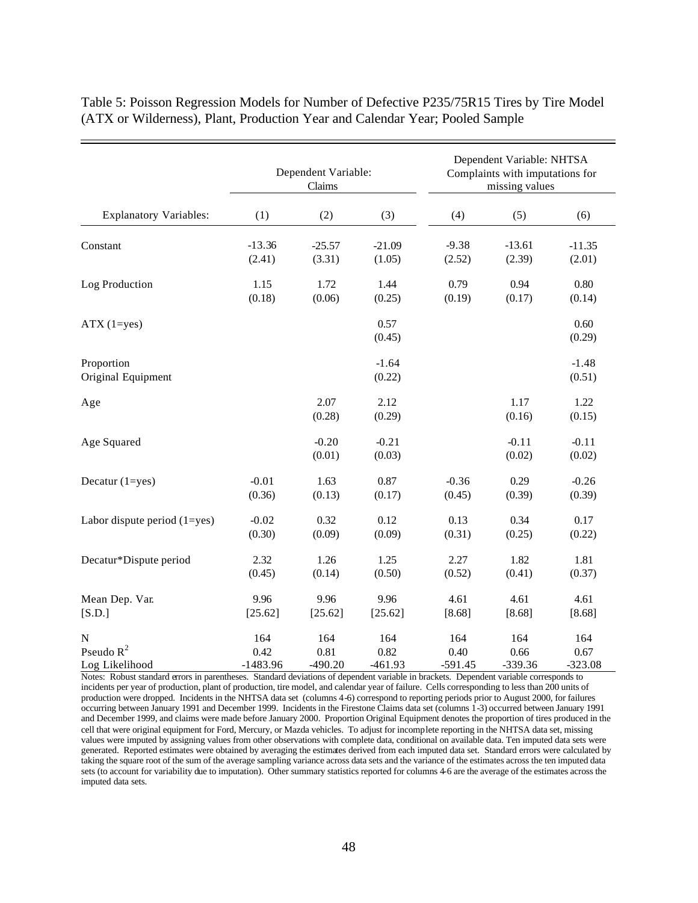|                                  |            | Dependent Variable:<br>Claims |                   | Dependent Variable: NHTSA<br>Complaints with imputations for<br>missing values |                   |                   |
|----------------------------------|------------|-------------------------------|-------------------|--------------------------------------------------------------------------------|-------------------|-------------------|
| <b>Explanatory Variables:</b>    | (1)        | (2)                           | (3)               | (4)                                                                            | (5)               | (6)               |
| Constant                         | $-13.36$   | $-25.57$                      | $-21.09$          | $-9.38$                                                                        | $-13.61$          | $-11.35$          |
|                                  | (2.41)     | (3.31)                        | (1.05)            | (2.52)                                                                         | (2.39)            | (2.01)            |
| Log Production                   | 1.15       | 1.72                          | 1.44              | 0.79                                                                           | 0.94              | 0.80              |
|                                  | (0.18)     | (0.06)                        | (0.25)            | (0.19)                                                                         | (0.17)            | (0.14)            |
| $ATX (1 = yes)$                  |            |                               | 0.57<br>(0.45)    |                                                                                |                   | 0.60<br>(0.29)    |
| Proportion<br>Original Equipment |            |                               | $-1.64$<br>(0.22) |                                                                                |                   | $-1.48$<br>(0.51) |
| Age                              |            | 2.07<br>(0.28)                | 2.12<br>(0.29)    |                                                                                | 1.17<br>(0.16)    | 1.22<br>(0.15)    |
| Age Squared                      |            | $-0.20$<br>(0.01)             | $-0.21$<br>(0.03) |                                                                                | $-0.11$<br>(0.02) | $-0.11$<br>(0.02) |
| Decatur $(1 = yes)$              | $-0.01$    | 1.63                          | 0.87              | $-0.36$                                                                        | 0.29              | $-0.26$           |
|                                  | (0.36)     | (0.13)                        | (0.17)            | (0.45)                                                                         | (0.39)            | (0.39)            |
| Labor dispute period $(1 = yes)$ | $-0.02$    | 0.32                          | 0.12              | 0.13                                                                           | 0.34              | 0.17              |
|                                  | (0.30)     | (0.09)                        | (0.09)            | (0.31)                                                                         | (0.25)            | (0.22)            |
| Decatur*Dispute period           | 2.32       | 1.26                          | 1.25              | 2.27                                                                           | 1.82              | 1.81              |
|                                  | (0.45)     | (0.14)                        | (0.50)            | (0.52)                                                                         | (0.41)            | (0.37)            |
| Mean Dep. Var.                   | 9.96       | 9.96                          | 9.96              | 4.61                                                                           | 4.61              | 4.61              |
| [S.D.]                           | [25.62]    | $[25.62]$                     | [25.62]           | [8.68]                                                                         | [8.68]            | [8.68]            |
| N                                | 164        | 164                           | 164               | 164                                                                            | 164               | 164               |
| Pseudo $R^2$                     | 0.42       | 0.81                          | 0.82              | 0.40                                                                           | 0.66              | 0.67              |
| Log Likelihood                   | $-1483.96$ | $-490.20$                     | $-461.93$         | $-591.45$                                                                      | $-339.36$         | $-323.08$         |

Table 5: Poisson Regression Models for Number of Defective P235/75R15 Tires by Tire Model (ATX or Wilderness), Plant, Production Year and Calendar Year; Pooled Sample

Notes: Robust standard errors in parentheses. Standard deviations of dependent variable in brackets. Dependent variable corresponds to incidents per year of production, plant of production, tire model, and calendar year of failure. Cells corresponding to less than 200 units of production were dropped. Incidents in the NHTSA data set (columns 4-6) correspond to reporting periods prior to August 2000, for failures occurring between January 1991 and December 1999. Incidents in the Firestone Claims data set (columns 1-3) occurred between January 1991 and December 1999, and claims were made before January 2000. Proportion Original Equipment denotes the proportion of tires produced in the cell that were original equipment for Ford, Mercury, or Mazda vehicles. To adjust for incomplete reporting in the NHTSA data set, missing values were imputed by assigning values from other observations with complete data, conditional on available data. Ten imputed data sets were generated. Reported estimates were obtained by averaging the estimates derived from each imputed data set. Standard errors were calculated by taking the square root of the sum of the average sampling variance across data sets and the variance of the estimates across the ten imputed data sets (to account for variability due to imputation). Other summary statistics reported for columns 4-6 are the average of the estimates across the imputed data sets.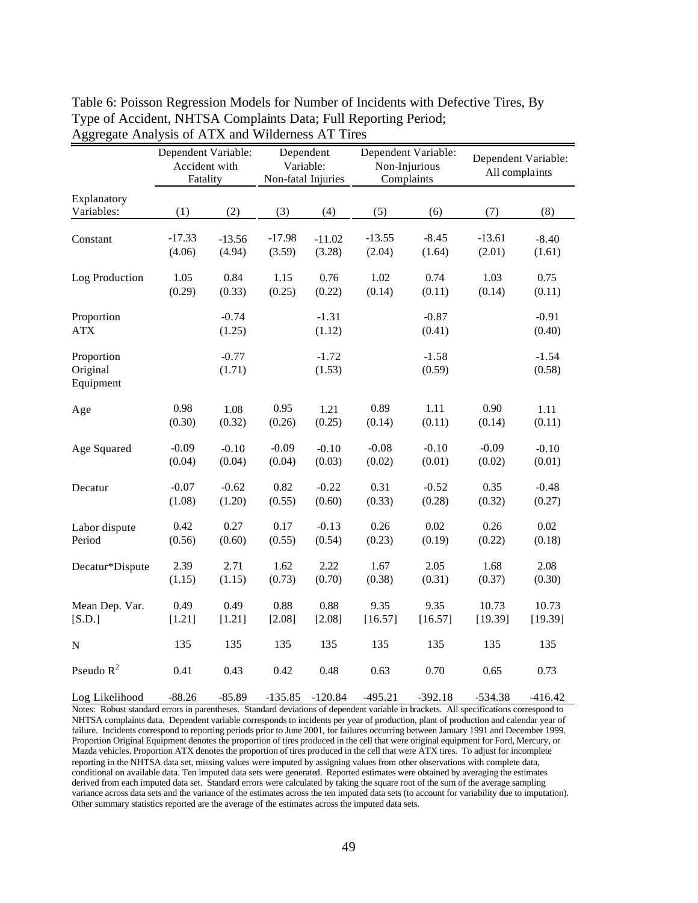|                                     | Dependent Variable:<br>Accident with<br>Fatality |                   | Dependent<br>Variable:<br>Non-fatal Injuries |                   |           | Dependent Variable:<br>Non-Injurious<br>Complaints |           | Dependent Variable:<br>All complaints |
|-------------------------------------|--------------------------------------------------|-------------------|----------------------------------------------|-------------------|-----------|----------------------------------------------------|-----------|---------------------------------------|
| Explanatory<br>Variables:           | (1)                                              | (2)               | (3)                                          | (4)               | (5)       | (6)                                                | (7)       | (8)                                   |
| Constant                            | $-17.33$                                         | $-13.56$          | $-17.98$                                     | $-11.02$          | $-13.55$  | $-8.45$                                            | $-13.61$  | $-8.40$                               |
|                                     | (4.06)                                           | (4.94)            | (3.59)                                       | (3.28)            | (2.04)    | (1.64)                                             | (2.01)    | (1.61)                                |
| Log Production                      | 1.05                                             | 0.84              | 1.15                                         | 0.76              | 1.02      | 0.74                                               | 1.03      | 0.75                                  |
|                                     | (0.29)                                           | (0.33)            | (0.25)                                       | (0.22)            | (0.14)    | (0.11)                                             | (0.14)    | (0.11)                                |
| Proportion<br><b>ATX</b>            |                                                  | $-0.74$<br>(1.25) |                                              | $-1.31$<br>(1.12) |           | $-0.87$<br>(0.41)                                  |           | $-0.91$<br>(0.40)                     |
| Proportion<br>Original<br>Equipment |                                                  | $-0.77$<br>(1.71) |                                              | $-1.72$<br>(1.53) |           | $-1.58$<br>(0.59)                                  |           | $-1.54$<br>(0.58)                     |
| Age                                 | 0.98                                             | 1.08              | 0.95                                         | 1.21              | 0.89      | 1.11                                               | 0.90      | 1.11                                  |
|                                     | (0.30)                                           | (0.32)            | (0.26)                                       | (0.25)            | (0.14)    | (0.11)                                             | (0.14)    | (0.11)                                |
| Age Squared                         | $-0.09$                                          | $-0.10$           | $-0.09$                                      | $-0.10$           | $-0.08$   | $-0.10$                                            | $-0.09$   | $-0.10$                               |
|                                     | (0.04)                                           | (0.04)            | (0.04)                                       | (0.03)            | (0.02)    | (0.01)                                             | (0.02)    | (0.01)                                |
| Decatur                             | $-0.07$                                          | $-0.62$           | 0.82                                         | $-0.22$           | 0.31      | $-0.52$                                            | 0.35      | $-0.48$                               |
|                                     | (1.08)                                           | (1.20)            | (0.55)                                       | (0.60)            | (0.33)    | (0.28)                                             | (0.32)    | (0.27)                                |
| Labor dispute                       | 0.42                                             | 0.27              | 0.17                                         | $-0.13$           | 0.26      | 0.02                                               | 0.26      | 0.02                                  |
| Period                              | (0.56)                                           | (0.60)            | (0.55)                                       | (0.54)            | (0.23)    | (0.19)                                             | (0.22)    | (0.18)                                |
| Decatur*Dispute                     | 2.39                                             | 2.71              | 1.62                                         | 2.22              | 1.67      | 2.05                                               | 1.68      | 2.08                                  |
|                                     | (1.15)                                           | (1.15)            | (0.73)                                       | (0.70)            | (0.38)    | (0.31)                                             | (0.37)    | (0.30)                                |
| Mean Dep. Var.                      | 0.49                                             | 0.49              | 0.88                                         | 0.88              | 9.35      | 9.35                                               | 10.73     | 10.73                                 |
| [S.D.]                              | [1.21]                                           | [1.21]            | [2.08]                                       | [2.08]            | [16.57]   | [16.57]                                            | [19.39]   | [19.39]                               |
| ${\bf N}$                           | 135                                              | 135               | 135                                          | 135               | 135       | 135                                                | 135       | 135                                   |
| Pseudo $R^2$                        | 0.41                                             | 0.43              | 0.42                                         | 0.48              | 0.63      | 0.70                                               | 0.65      | 0.73                                  |
| Log Likelihood                      | $-88.26$                                         | $-85.89$          | $-135.85$                                    | $-120.84$         | $-495.21$ | $-392.18$                                          | $-534.38$ | $-416.42$                             |

Table 6: Poisson Regression Models for Number of Incidents with Defective Tires, By Type of Accident, NHTSA Complaints Data; Full Reporting Period; Aggregate Analysis of ATX and Wilderness AT Tires

Notes: Robust standard errors in parentheses. Standard deviations of dependent variable in brackets. All specifications correspond to NHTSA complaints data. Dependent variable corresponds to incidents per year of production, plant of production and calendar year of failure. Incidents correspond to reporting periods prior to June 2001, for failures occurring between January 1991 and December 1999. Proportion Original Equipment denotes the proportion of tires produced in the cell that were original equipment for Ford, Mercury, or Mazda vehicles. Proportion ATX denotes the proportion of tires produced in the cell that were ATX tires. To adjust for incomplete reporting in the NHTSA data set, missing values were imputed by assigning values from other observations with complete data, conditional on available data. Ten imputed data sets were generated. Reported estimates were obtained by averaging the estimates derived from each imputed data set. Standard errors were calculated by taking the square root of the sum of the average sampling variance across data sets and the variance of the estimates across the ten imputed data sets (to account for variability due to imputation). Other summary statistics reported are the average of the estimates across the imputed data sets.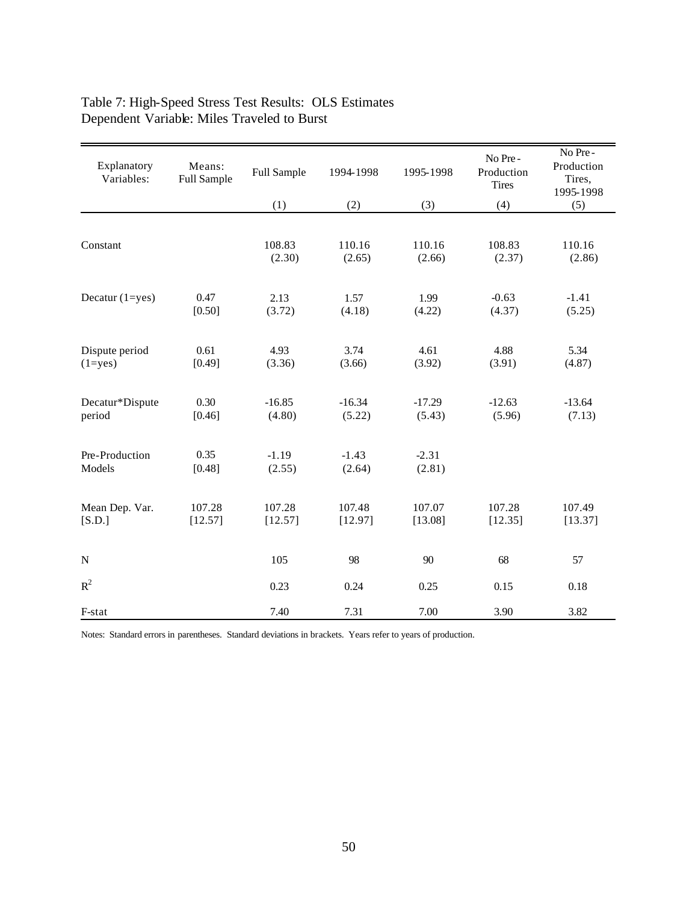## Table 7: High-Speed Stress Test Results: OLS Estimates Dependent Variable: Miles Traveled to Burst

| Explanatory<br>Variables:     | Means:<br>Full Sample | Full Sample        | 1994-1998          | 1995-1998          | No Pre-<br>Production<br><b>Tires</b> | No Pre-<br>Production<br>Tires,<br>1995-1998 |
|-------------------------------|-----------------------|--------------------|--------------------|--------------------|---------------------------------------|----------------------------------------------|
|                               |                       | (1)                | (2)                | (3)                | (4)                                   | (5)                                          |
| Constant                      |                       | 108.83<br>(2.30)   | 110.16<br>(2.65)   | 110.16<br>(2.66)   | 108.83<br>(2.37)                      | 110.16<br>(2.86)                             |
| Decatur $(1 = yes)$           | 0.47<br>[0.50]        | 2.13<br>(3.72)     | 1.57<br>(4.18)     | 1.99<br>(4.22)     | $-0.63$<br>(4.37)                     | $-1.41$<br>(5.25)                            |
| Dispute period<br>$(1 = yes)$ | 0.61<br>[0.49]        | 4.93<br>(3.36)     | 3.74<br>(3.66)     | 4.61<br>(3.92)     | 4.88<br>(3.91)                        | 5.34<br>(4.87)                               |
| Decatur*Dispute<br>period     | 0.30<br>[0.46]        | $-16.85$<br>(4.80) | $-16.34$<br>(5.22) | $-17.29$<br>(5.43) | $-12.63$<br>(5.96)                    | $-13.64$<br>(7.13)                           |
| Pre-Production<br>Models      | 0.35<br>[0.48]        | $-1.19$<br>(2.55)  | $-1.43$<br>(2.64)  | $-2.31$<br>(2.81)  |                                       |                                              |
| Mean Dep. Var.<br>[S.D.]      | 107.28<br>[12.57]     | 107.28<br>[12.57]  | 107.48<br>[12.97]  | 107.07<br>[13.08]  | 107.28<br>[12.35]                     | 107.49<br>[13.37]                            |
| N                             |                       | 105                | 98                 | 90                 | 68                                    | 57                                           |
| $R^2$                         |                       | 0.23               | 0.24               | 0.25               | 0.15                                  | 0.18                                         |
| F-stat                        |                       | 7.40               | 7.31               | 7.00               | 3.90                                  | 3.82                                         |

Notes: Standard errors in parentheses. Standard deviations in brackets. Years refer to years of production.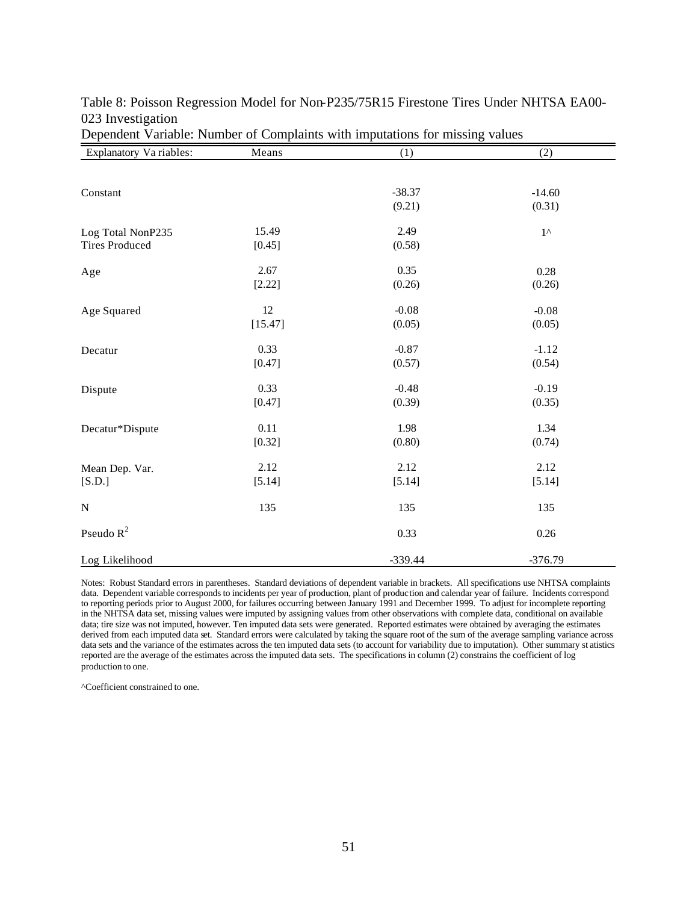| <b>Explanatory Va riables:</b> | Means   | (1)       | (2)          |
|--------------------------------|---------|-----------|--------------|
|                                |         |           |              |
| Constant                       |         | $-38.37$  | $-14.60$     |
|                                |         | (9.21)    | (0.31)       |
| Log Total NonP235              | 15.49   | 2.49      | $1^{\wedge}$ |
| <b>Tires Produced</b>          | [0.45]  | (0.58)    |              |
| Age                            | 2.67    | 0.35      | 0.28         |
|                                | [2.22]  | (0.26)    | (0.26)       |
| Age Squared                    | 12      | $-0.08$   | $-0.08$      |
|                                | [15.47] | (0.05)    | (0.05)       |
| Decatur                        | 0.33    | $-0.87$   | $-1.12$      |
|                                | [0.47]  | (0.57)    | (0.54)       |
| Dispute                        | 0.33    | $-0.48$   | $-0.19$      |
|                                | [0.47]  | (0.39)    | (0.35)       |
| Decatur*Dispute                | 0.11    | 1.98      | 1.34         |
|                                | [0.32]  | (0.80)    | (0.74)       |
| Mean Dep. Var.                 | 2.12    | 2.12      | 2.12         |
| [S.D.]                         | [5.14]  | [5.14]    | [5.14]       |
| $\mathbf N$                    | 135     | 135       | 135          |
| Pseudo $R^2$                   |         | 0.33      | $0.26\,$     |
| Log Likelihood                 |         | $-339.44$ | $-376.79$    |

### Table 8: Poisson Regression Model for Non-P235/75R15 Firestone Tires Under NHTSA EA00- 023 Investigation

Dependent Variable: Number of Complaints with imputations for missing values

Notes: Robust Standard errors in parentheses. Standard deviations of dependent variable in brackets. All specifications use NHTSA complaints data. Dependent variable corresponds to incidents per year of production, plant of production and calendar year of failure. Incidents correspond to reporting periods prior to August 2000, for failures occurring between January 1991 and December 1999. To adjust for incomplete reporting in the NHTSA data set, missing values were imputed by assigning values from other observations with complete data, conditional on available data; tire size was not imputed, however. Ten imputed data sets were generated. Reported estimates were obtained by averaging the estimates derived from each imputed data set. Standard errors were calculated by taking the square root of the sum of the average sampling variance across data sets and the variance of the estimates across the ten imputed data sets (to account for variability due to imputation). Other summary st atistics reported are the average of the estimates across the imputed data sets. The specifications in column (2) constrains the coefficient of log production to one.

^Coefficient constrained to one.